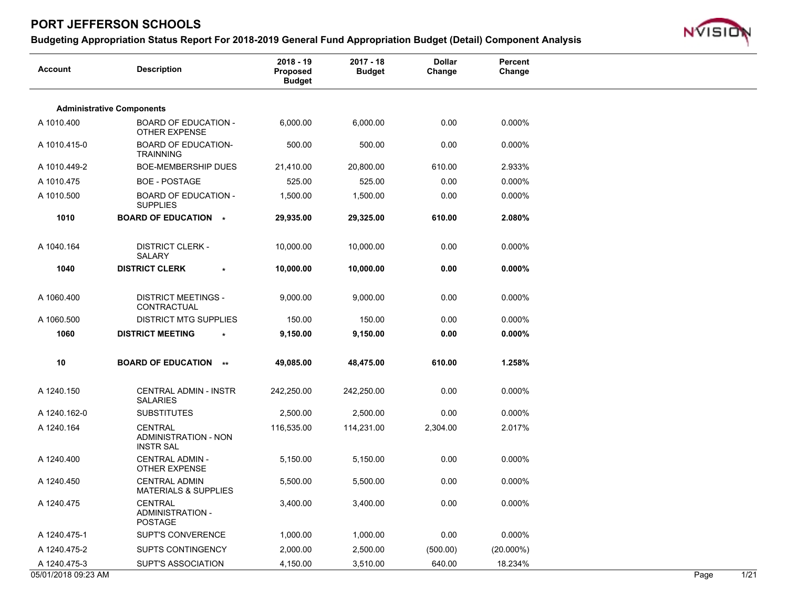

| <b>Account</b>      | <b>Description</b>                                                | $2018 - 19$<br>Proposed<br><b>Budget</b> | $2017 - 18$<br><b>Budget</b> | <b>Dollar</b><br>Change | Percent<br>Change |      |                |
|---------------------|-------------------------------------------------------------------|------------------------------------------|------------------------------|-------------------------|-------------------|------|----------------|
|                     | <b>Administrative Components</b>                                  |                                          |                              |                         |                   |      |                |
| A 1010.400          | <b>BOARD OF EDUCATION -</b><br>OTHER EXPENSE                      | 6,000.00                                 | 6,000.00                     | 0.00                    | 0.000%            |      |                |
| A 1010.415-0        | <b>BOARD OF EDUCATION-</b><br><b>TRAINNING</b>                    | 500.00                                   | 500.00                       | 0.00                    | 0.000%            |      |                |
| A 1010.449-2        | <b>BOE-MEMBERSHIP DUES</b>                                        | 21,410.00                                | 20,800.00                    | 610.00                  | 2.933%            |      |                |
| A 1010.475          | <b>BOE - POSTAGE</b>                                              | 525.00                                   | 525.00                       | 0.00                    | 0.000%            |      |                |
| A 1010.500          | <b>BOARD OF EDUCATION -</b><br><b>SUPPLIES</b>                    | 1,500.00                                 | 1,500.00                     | 0.00                    | 0.000%            |      |                |
| 1010                | <b>BOARD OF EDUCATION *</b>                                       | 29,935.00                                | 29,325.00                    | 610.00                  | 2.080%            |      |                |
| A 1040.164          | <b>DISTRICT CLERK -</b><br><b>SALARY</b>                          | 10,000.00                                | 10,000.00                    | 0.00                    | 0.000%            |      |                |
| 1040                | <b>DISTRICT CLERK</b><br>$\star$                                  | 10,000.00                                | 10,000.00                    | 0.00                    | $0.000\%$         |      |                |
| A 1060.400          | <b>DISTRICT MEETINGS -</b><br>CONTRACTUAL                         | 9,000.00                                 | 9,000.00                     | 0.00                    | 0.000%            |      |                |
| A 1060.500          | <b>DISTRICT MTG SUPPLIES</b>                                      | 150.00                                   | 150.00                       | 0.00                    | 0.000%            |      |                |
| 1060                | <b>DISTRICT MEETING</b>                                           | 9,150.00                                 | 9,150.00                     | 0.00                    | $0.000\%$         |      |                |
| 10                  | <b>BOARD OF EDUCATION **</b>                                      | 49,085.00                                | 48,475.00                    | 610.00                  | 1.258%            |      |                |
| A 1240.150          | CENTRAL ADMIN - INSTR<br><b>SALARIES</b>                          | 242,250.00                               | 242,250.00                   | 0.00                    | 0.000%            |      |                |
| A 1240.162-0        | <b>SUBSTITUTES</b>                                                | 2,500.00                                 | 2,500.00                     | 0.00                    | 0.000%            |      |                |
| A 1240.164          | <b>CENTRAL</b><br><b>ADMINISTRATION - NON</b><br><b>INSTR SAL</b> | 116,535.00                               | 114,231.00                   | 2,304.00                | 2.017%            |      |                |
| A 1240.400          | <b>CENTRAL ADMIN -</b><br><b>OTHER EXPENSE</b>                    | 5,150.00                                 | 5,150.00                     | 0.00                    | 0.000%            |      |                |
| A 1240.450          | <b>CENTRAL ADMIN</b><br><b>MATERIALS &amp; SUPPLIES</b>           | 5,500.00                                 | 5,500.00                     | 0.00                    | 0.000%            |      |                |
| A 1240.475          | CENTRAL<br><b>ADMINISTRATION -</b><br>POSTAGE                     | 3,400.00                                 | 3,400.00                     | 0.00                    | 0.000%            |      |                |
| A 1240.475-1        | SUPT'S CONVERENCE                                                 | 1,000.00                                 | 1,000.00                     | 0.00                    | 0.000%            |      |                |
| A 1240.475-2        | SUPTS CONTINGENCY                                                 | 2,000.00                                 | 2,500.00                     | (500.00)                | $(20.000\%)$      |      |                |
| A 1240.475-3        | <b>SUPT'S ASSOCIATION</b>                                         | 4,150.00                                 | 3,510.00                     | 640.00                  | 18.234%           |      |                |
| 05/01/2018 09:23 AM |                                                                   |                                          |                              |                         |                   | Page | $\frac{1}{21}$ |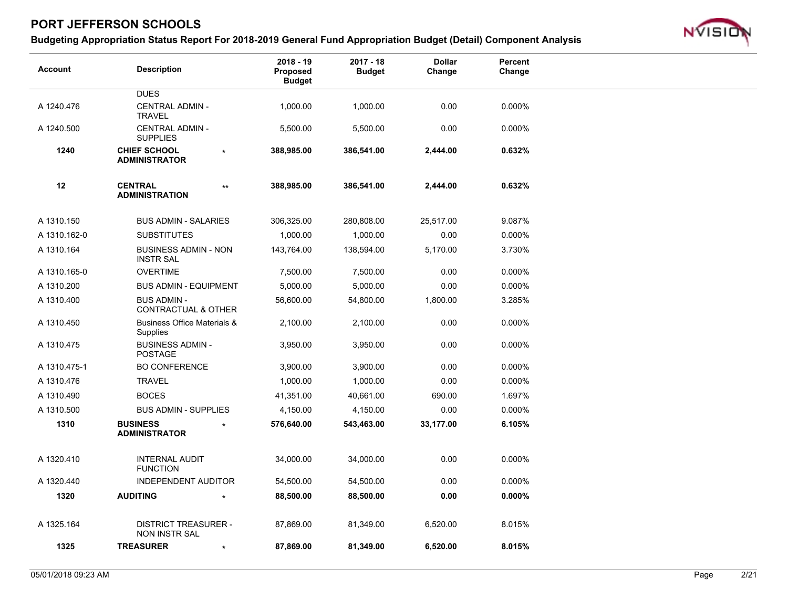

| <b>Account</b> | <b>Description</b>                                   |              | $2018 - 19$<br>Proposed<br><b>Budget</b> | $2017 - 18$<br><b>Budget</b> | <b>Dollar</b><br>Change | Percent<br>Change |  |
|----------------|------------------------------------------------------|--------------|------------------------------------------|------------------------------|-------------------------|-------------------|--|
|                | <b>DUES</b>                                          |              |                                          |                              |                         |                   |  |
| A 1240.476     | <b>CENTRAL ADMIN -</b><br><b>TRAVEL</b>              |              | 1,000.00                                 | 1,000.00                     | 0.00                    | 0.000%            |  |
| A 1240.500     | CENTRAL ADMIN -<br><b>SUPPLIES</b>                   |              | 5,500.00                                 | 5,500.00                     | 0.00                    | 0.000%            |  |
| 1240           | <b>CHIEF SCHOOL</b><br><b>ADMINISTRATOR</b>          | $\star$      | 388,985.00                               | 386,541.00                   | 2,444.00                | 0.632%            |  |
| 12             | <b>CENTRAL</b><br><b>ADMINISTRATION</b>              | $\star\star$ | 388,985.00                               | 386,541.00                   | 2,444.00                | 0.632%            |  |
| A 1310.150     | <b>BUS ADMIN - SALARIES</b>                          |              | 306,325.00                               | 280,808.00                   | 25,517.00               | 9.087%            |  |
| A 1310.162-0   | <b>SUBSTITUTES</b>                                   |              | 1,000.00                                 | 1,000.00                     | 0.00                    | 0.000%            |  |
| A 1310.164     | <b>BUSINESS ADMIN - NON</b><br><b>INSTR SAL</b>      |              | 143,764.00                               | 138,594.00                   | 5,170.00                | 3.730%            |  |
| A 1310.165-0   | <b>OVERTIME</b>                                      |              | 7,500.00                                 | 7,500.00                     | 0.00                    | 0.000%            |  |
| A 1310.200     | <b>BUS ADMIN - EQUIPMENT</b>                         |              | 5,000.00                                 | 5,000.00                     | 0.00                    | 0.000%            |  |
| A 1310.400     | <b>BUS ADMIN -</b><br><b>CONTRACTUAL &amp; OTHER</b> |              | 56,600.00                                | 54,800.00                    | 1,800.00                | 3.285%            |  |
| A 1310.450     | <b>Business Office Materials &amp;</b><br>Supplies   |              | 2,100.00                                 | 2,100.00                     | 0.00                    | 0.000%            |  |
| A 1310.475     | <b>BUSINESS ADMIN -</b><br><b>POSTAGE</b>            |              | 3,950.00                                 | 3,950.00                     | 0.00                    | 0.000%            |  |
| A 1310.475-1   | <b>BO CONFERENCE</b>                                 |              | 3,900.00                                 | 3,900.00                     | 0.00                    | 0.000%            |  |
| A 1310.476     | <b>TRAVEL</b>                                        |              | 1,000.00                                 | 1,000.00                     | 0.00                    | 0.000%            |  |
| A 1310.490     | <b>BOCES</b>                                         |              | 41,351.00                                | 40,661.00                    | 690.00                  | 1.697%            |  |
| A 1310.500     | <b>BUS ADMIN - SUPPLIES</b>                          |              | 4,150.00                                 | 4,150.00                     | 0.00                    | 0.000%            |  |
| 1310           | <b>BUSINESS</b><br><b>ADMINISTRATOR</b>              |              | 576,640.00                               | 543,463.00                   | 33,177.00               | 6.105%            |  |
| A 1320.410     | <b>INTERNAL AUDIT</b><br><b>FUNCTION</b>             |              | 34,000.00                                | 34,000.00                    | 0.00                    | 0.000%            |  |
| A 1320.440     | <b>INDEPENDENT AUDITOR</b>                           |              | 54,500.00                                | 54,500.00                    | 0.00                    | 0.000%            |  |
| 1320           | <b>AUDITING</b>                                      |              | 88,500.00                                | 88,500.00                    | 0.00                    | $0.000\%$         |  |
| A 1325.164     | <b>DISTRICT TREASURER -</b><br>NON INSTR SAL         |              | 87,869.00                                | 81,349.00                    | 6,520.00                | 8.015%            |  |
| 1325           | <b>TREASURER</b>                                     | $\star$      | 87,869.00                                | 81,349.00                    | 6,520.00                | 8.015%            |  |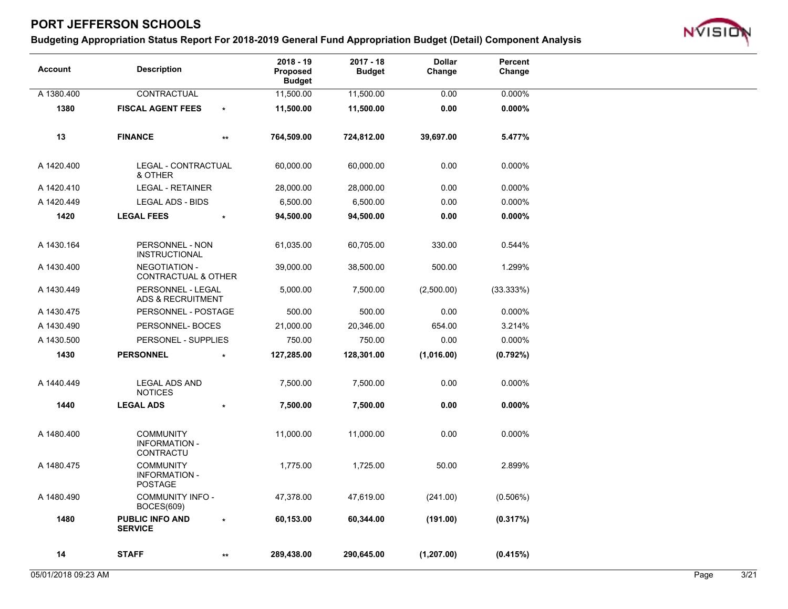

| <b>Account</b> | <b>Description</b>                                         |                 | $2018 - 19$<br>Proposed<br><b>Budget</b> | $2017 - 18$<br><b>Budget</b> | <b>Dollar</b><br>Change | Percent<br>Change |
|----------------|------------------------------------------------------------|-----------------|------------------------------------------|------------------------------|-------------------------|-------------------|
| A 1380.400     | CONTRACTUAL                                                |                 | 11,500.00                                | 11,500.00                    | 0.00                    | 0.000%            |
| 1380           | <b>FISCAL AGENT FEES</b>                                   | $\star$         | 11,500.00                                | 11,500.00                    | 0.00                    | $0.000\%$         |
| 13             | <b>FINANCE</b>                                             | $^{\star\star}$ | 764,509.00                               | 724,812.00                   | 39,697.00               | 5.477%            |
| A 1420.400     | LEGAL - CONTRACTUAL<br>& OTHER                             |                 | 60,000.00                                | 60,000.00                    | 0.00                    | 0.000%            |
| A 1420.410     | <b>LEGAL - RETAINER</b>                                    |                 | 28,000.00                                | 28,000.00                    | 0.00                    | 0.000%            |
| A 1420.449     | LEGAL ADS - BIDS                                           |                 | 6,500.00                                 | 6,500.00                     | 0.00                    | 0.000%            |
| 1420           | <b>LEGAL FEES</b>                                          | $\star$         | 94,500.00                                | 94,500.00                    | 0.00                    | $0.000\%$         |
| A 1430.164     | PERSONNEL - NON<br><b>INSTRUCTIONAL</b>                    |                 | 61,035.00                                | 60,705.00                    | 330.00                  | 0.544%            |
| A 1430.400     | <b>NEGOTIATION -</b><br><b>CONTRACTUAL &amp; OTHER</b>     |                 | 39,000.00                                | 38,500.00                    | 500.00                  | 1.299%            |
| A 1430.449     | PERSONNEL - LEGAL<br>ADS & RECRUITMENT                     |                 | 5,000.00                                 | 7,500.00                     | (2,500.00)              | (33.333%)         |
| A 1430.475     | PERSONNEL - POSTAGE                                        |                 | 500.00                                   | 500.00                       | 0.00                    | 0.000%            |
| A 1430.490     | PERSONNEL-BOCES                                            |                 | 21,000.00                                | 20,346.00                    | 654.00                  | 3.214%            |
| A 1430.500     | PERSONEL - SUPPLIES                                        |                 | 750.00                                   | 750.00                       | 0.00                    | 0.000%            |
| 1430           | <b>PERSONNEL</b>                                           |                 | 127,285.00                               | 128,301.00                   | (1,016.00)              | $(0.792\%)$       |
| A 1440.449     | <b>LEGAL ADS AND</b><br><b>NOTICES</b>                     |                 | 7,500.00                                 | 7,500.00                     | 0.00                    | 0.000%            |
| 1440           | <b>LEGAL ADS</b>                                           |                 | 7,500.00                                 | 7,500.00                     | 0.00                    | $0.000\%$         |
| A 1480.400     | <b>COMMUNITY</b><br><b>INFORMATION -</b><br>CONTRACTU      |                 | 11,000.00                                | 11,000.00                    | 0.00                    | 0.000%            |
| A 1480.475     | <b>COMMUNITY</b><br><b>INFORMATION -</b><br><b>POSTAGE</b> |                 | 1,775.00                                 | 1,725.00                     | 50.00                   | 2.899%            |
| A 1480.490     | <b>COMMUNITY INFO -</b><br><b>BOCES(609)</b>               |                 | 47,378.00                                | 47,619.00                    | (241.00)                | (0.506%)          |
| 1480           | <b>PUBLIC INFO AND</b><br><b>SERVICE</b>                   |                 | 60,153.00                                | 60,344.00                    | (191.00)                | (0.317%)          |
| 14             | <b>STAFF</b>                                               | $^{\star\star}$ | 289,438.00                               | 290,645.00                   | (1, 207.00)             | (0.415%)          |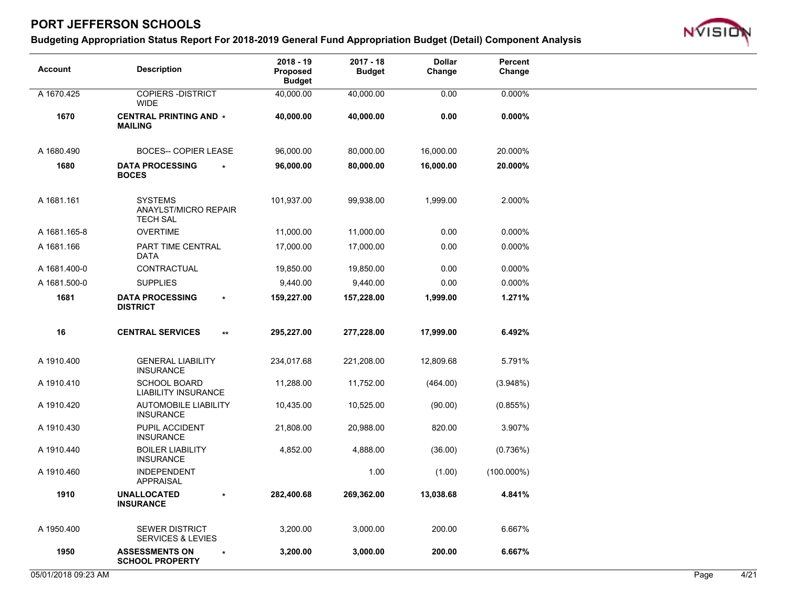

| <b>Account</b> | <b>Description</b>                                         | $2018 - 19$<br><b>Proposed</b><br><b>Budget</b> | $2017 - 18$<br><b>Budget</b> | <b>Dollar</b><br>Change | Percent<br>Change |
|----------------|------------------------------------------------------------|-------------------------------------------------|------------------------------|-------------------------|-------------------|
| A 1670.425     | <b>COPIERS - DISTRICT</b><br><b>WIDE</b>                   | 40,000.00                                       | 40,000.00                    | 0.00                    | 0.000%            |
| 1670           | <b>CENTRAL PRINTING AND *</b><br><b>MAILING</b>            | 40,000.00                                       | 40,000.00                    | 0.00                    | $0.000\%$         |
| A 1680.490     | <b>BOCES-- COPIER LEASE</b>                                | 96,000.00                                       | 80,000.00                    | 16,000.00               | 20.000%           |
| 1680           | <b>DATA PROCESSING</b><br><b>BOCES</b>                     | 96,000.00                                       | 80,000.00                    | 16,000.00               | 20.000%           |
| A 1681.161     | <b>SYSTEMS</b><br>ANAYLST/MICRO REPAIR<br><b>TECH SAL</b>  | 101,937.00                                      | 99,938.00                    | 1,999.00                | 2.000%            |
| A 1681.165-8   | <b>OVERTIME</b>                                            | 11,000.00                                       | 11,000.00                    | 0.00                    | 0.000%            |
| A 1681.166     | PART TIME CENTRAL<br>DATA                                  | 17,000.00                                       | 17,000.00                    | 0.00                    | 0.000%            |
| A 1681.400-0   | CONTRACTUAL                                                | 19,850.00                                       | 19,850.00                    | 0.00                    | 0.000%            |
| A 1681.500-0   | <b>SUPPLIES</b>                                            | 9,440.00                                        | 9,440.00                     | 0.00                    | 0.000%            |
| 1681           | <b>DATA PROCESSING</b><br>$\star$<br><b>DISTRICT</b>       | 159,227.00                                      | 157,228.00                   | 1,999.00                | 1.271%            |
| 16             | <b>CENTRAL SERVICES</b><br>$^{\star\star}$                 | 295,227.00                                      | 277,228.00                   | 17,999.00               | 6.492%            |
| A 1910.400     | <b>GENERAL LIABILITY</b><br><b>INSURANCE</b>               | 234,017.68                                      | 221,208.00                   | 12,809.68               | 5.791%            |
| A 1910.410     | <b>SCHOOL BOARD</b><br><b>LIABILITY INSURANCE</b>          | 11,288.00                                       | 11,752.00                    | (464.00)                | (3.948%)          |
| A 1910.420     | <b>AUTOMOBILE LIABILITY</b><br><b>INSURANCE</b>            | 10,435.00                                       | 10,525.00                    | (90.00)                 | (0.855%)          |
| A 1910.430     | PUPIL ACCIDENT<br><b>INSURANCE</b>                         | 21,808.00                                       | 20,988.00                    | 820.00                  | 3.907%            |
| A 1910.440     | <b>BOILER LIABILITY</b><br><b>INSURANCE</b>                | 4,852.00                                        | 4,888.00                     | (36.00)                 | (0.736%)          |
| A 1910.460     | <b>INDEPENDENT</b><br><b>APPRAISAL</b>                     |                                                 | 1.00                         | (1.00)                  | $(100.000\%)$     |
| 1910           | <b>UNALLOCATED</b><br>$\star$<br><b>INSURANCE</b>          | 282,400.68                                      | 269,362.00                   | 13,038.68               | 4.841%            |
| A 1950.400     | <b>SEWER DISTRICT</b><br><b>SERVICES &amp; LEVIES</b>      | 3,200.00                                        | 3,000.00                     | 200.00                  | 6.667%            |
| 1950           | <b>ASSESSMENTS ON</b><br>$\star$<br><b>SCHOOL PROPERTY</b> | 3,200.00                                        | 3,000.00                     | 200.00                  | 6.667%            |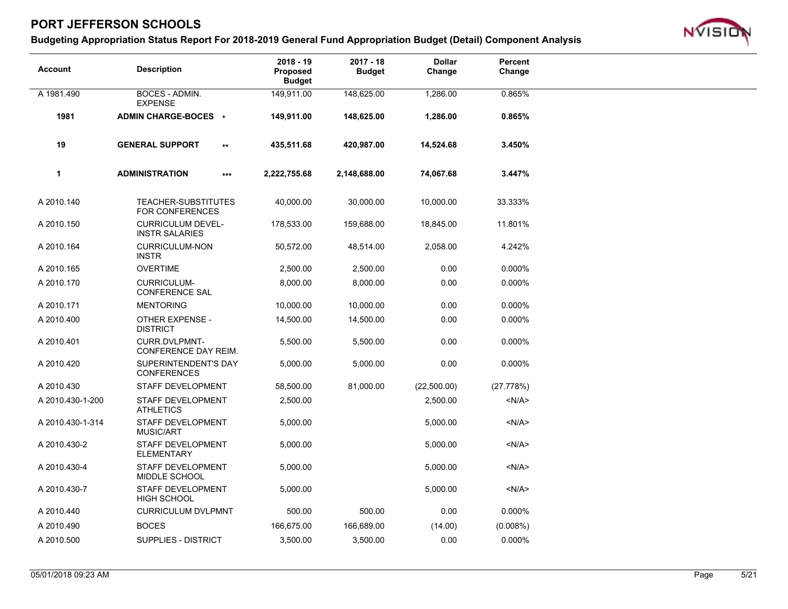

| <b>Account</b>   | <b>Description</b>                                |              | $2018 - 19$<br><b>Proposed</b><br><b>Budget</b> | $2017 - 18$<br><b>Budget</b> | <b>Dollar</b><br>Change | Percent<br>Change |
|------------------|---------------------------------------------------|--------------|-------------------------------------------------|------------------------------|-------------------------|-------------------|
| A 1981.490       | BOCES - ADMIN.<br><b>EXPENSE</b>                  |              | 149,911.00                                      | 148,625.00                   | 1,286.00                | 0.865%            |
| 1981             | ADMIN CHARGE-BOCES *                              |              | 149,911.00                                      | 148,625.00                   | 1,286.00                | 0.865%            |
| 19               | <b>GENERAL SUPPORT</b>                            | $\star\star$ | 435,511.68                                      | 420,987.00                   | 14,524.68               | 3.450%            |
| $\mathbf{1}$     | <b>ADMINISTRATION</b>                             | $***$        | 2,222,755.68                                    | 2,148,688.00                 | 74,067.68               | 3.447%            |
| A 2010.140       | TEACHER-SUBSTITUTES<br><b>FOR CONFERENCES</b>     |              | 40,000.00                                       | 30,000.00                    | 10,000.00               | 33.333%           |
| A 2010.150       | <b>CURRICULUM DEVEL-</b><br><b>INSTR SALARIES</b> |              | 178,533.00                                      | 159,688.00                   | 18,845.00               | 11.801%           |
| A 2010.164       | <b>CURRICULUM-NON</b><br><b>INSTR</b>             |              | 50,572.00                                       | 48,514.00                    | 2,058.00                | 4.242%            |
| A 2010.165       | <b>OVERTIME</b>                                   |              | 2,500.00                                        | 2,500.00                     | 0.00                    | 0.000%            |
| A 2010.170       | <b>CURRICULUM-</b><br><b>CONFERENCE SAL</b>       |              | 8,000.00                                        | 8,000.00                     | 0.00                    | 0.000%            |
| A 2010.171       | <b>MENTORING</b>                                  |              | 10,000.00                                       | 10,000.00                    | 0.00                    | 0.000%            |
| A 2010.400       | <b>OTHER EXPENSE -</b><br><b>DISTRICT</b>         |              | 14,500.00                                       | 14,500.00                    | 0.00                    | 0.000%            |
| A 2010.401       | CURR.DVLPMNT-<br>CONFERENCE DAY REIM.             |              | 5,500.00                                        | 5,500.00                     | 0.00                    | 0.000%            |
| A 2010.420       | SUPERINTENDENT'S DAY<br><b>CONFERENCES</b>        |              | 5,000.00                                        | 5,000.00                     | 0.00                    | 0.000%            |
| A 2010.430       | <b>STAFF DEVELOPMENT</b>                          |              | 58,500.00                                       | 81,000.00                    | (22,500.00)             | (27.778%)         |
| A 2010.430-1-200 | STAFF DEVELOPMENT<br><b>ATHLETICS</b>             |              | 2,500.00                                        |                              | 2,500.00                | < N/A >           |
| A 2010.430-1-314 | STAFF DEVELOPMENT<br><b>MUSIC/ART</b>             |              | 5,000.00                                        |                              | 5,000.00                | < N/A >           |
| A 2010.430-2     | STAFF DEVELOPMENT<br><b>ELEMENTARY</b>            |              | 5,000.00                                        |                              | 5,000.00                | < N/A >           |
| A 2010.430-4     | STAFF DEVELOPMENT<br>MIDDLE SCHOOL                |              | 5,000.00                                        |                              | 5,000.00                | $<$ N/A $>$       |
| A 2010.430-7     | <b>STAFF DEVELOPMENT</b><br><b>HIGH SCHOOL</b>    |              | 5,000.00                                        |                              | 5,000.00                | < N/A >           |
| A 2010.440       | <b>CURRICULUM DVLPMNT</b>                         |              | 500.00                                          | 500.00                       | 0.00                    | 0.000%            |
| A 2010.490       | <b>BOCES</b>                                      |              | 166,675.00                                      | 166,689.00                   | (14.00)                 | (0.008%)          |
| A 2010.500       | SUPPLIES - DISTRICT                               |              | 3,500.00                                        | 3,500.00                     | 0.00                    | 0.000%            |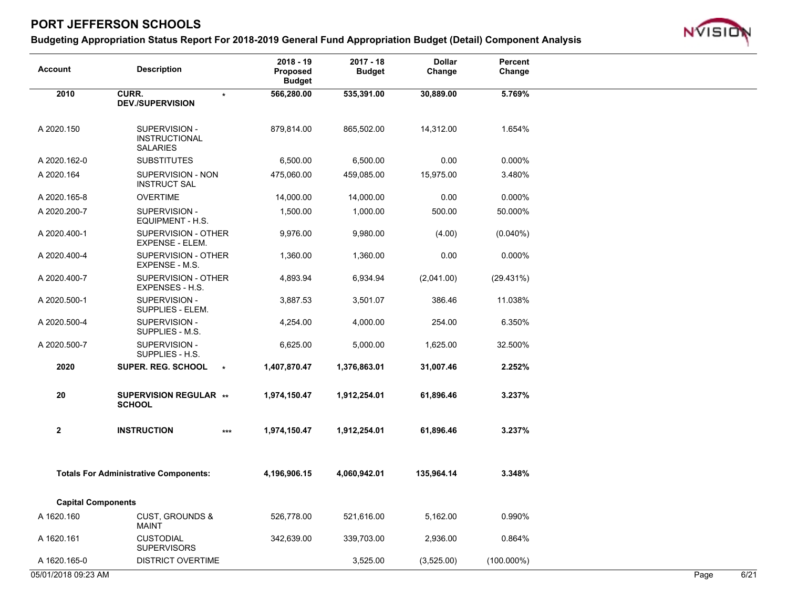

| <b>Account</b>            | <b>Description</b>                                       | $2018 - 19$<br>Proposed<br><b>Budget</b> | $2017 - 18$<br><b>Budget</b> | <b>Dollar</b><br>Change | Percent<br>Change |  |
|---------------------------|----------------------------------------------------------|------------------------------------------|------------------------------|-------------------------|-------------------|--|
| 2010                      | CURR.<br>$\star$<br><b>DEV./SUPERVISION</b>              | 566,280.00                               | 535,391.00                   | 30,889.00               | 5.769%            |  |
| A 2020.150                | SUPERVISION -<br><b>INSTRUCTIONAL</b><br><b>SALARIES</b> | 879,814.00                               | 865,502.00                   | 14,312.00               | 1.654%            |  |
| A 2020.162-0              | <b>SUBSTITUTES</b>                                       | 6,500.00                                 | 6,500.00                     | 0.00                    | 0.000%            |  |
| A 2020.164                | SUPERVISION - NON<br><b>INSTRUCT SAL</b>                 | 475,060.00                               | 459,085.00                   | 15,975.00               | 3.480%            |  |
| A 2020.165-8              | <b>OVERTIME</b>                                          | 14,000.00                                | 14,000.00                    | 0.00                    | 0.000%            |  |
| A 2020.200-7              | SUPERVISION -<br>EQUIPMENT - H.S.                        | 1,500.00                                 | 1,000.00                     | 500.00                  | 50.000%           |  |
| A 2020.400-1              | SUPERVISION - OTHER<br>EXPENSE - ELEM.                   | 9,976.00                                 | 9,980.00                     | (4.00)                  | $(0.040\%)$       |  |
| A 2020.400-4              | SUPERVISION - OTHER<br>EXPENSE - M.S.                    | 1,360.00                                 | 1,360.00                     | 0.00                    | 0.000%            |  |
| A 2020.400-7              | SUPERVISION - OTHER<br>EXPENSES - H.S.                   | 4,893.94                                 | 6,934.94                     | (2,041.00)              | (29.431%)         |  |
| A 2020.500-1              | SUPERVISION -<br>SUPPLIES - ELEM.                        | 3,887.53                                 | 3,501.07                     | 386.46                  | 11.038%           |  |
| A 2020.500-4              | SUPERVISION -<br>SUPPLIES - M.S.                         | 4,254.00                                 | 4,000.00                     | 254.00                  | 6.350%            |  |
| A 2020.500-7              | SUPERVISION -<br>SUPPLIES - H.S.                         | 6,625.00                                 | 5,000.00                     | 1,625.00                | 32.500%           |  |
| 2020                      | <b>SUPER. REG. SCHOOL</b><br>$\pmb{\ast}$                | 1,407,870.47                             | 1,376,863.01                 | 31,007.46               | 2.252%            |  |
| 20                        | <b>SUPERVISION REGULAR **</b><br><b>SCHOOL</b>           | 1,974,150.47                             | 1,912,254.01                 | 61,896.46               | 3.237%            |  |
| $\mathbf 2$               | <b>INSTRUCTION</b><br>$***$                              | 1,974,150.47                             | 1,912,254.01                 | 61,896.46               | 3.237%            |  |
|                           | <b>Totals For Administrative Components:</b>             | 4,196,906.15                             | 4,060,942.01                 | 135,964.14              | 3.348%            |  |
| <b>Capital Components</b> |                                                          |                                          |                              |                         |                   |  |
| A 1620.160                | <b>CUST, GROUNDS &amp;</b><br><b>MAINT</b>               | 526,778.00                               | 521,616.00                   | 5,162.00                | 0.990%            |  |
| A 1620.161                | <b>CUSTODIAL</b><br><b>SUPERVISORS</b>                   | 342,639.00                               | 339,703.00                   | 2,936.00                | 0.864%            |  |
| A 1620.165-0              | <b>DISTRICT OVERTIME</b>                                 |                                          | 3,525.00                     | (3,525.00)              | $(100.000\%)$     |  |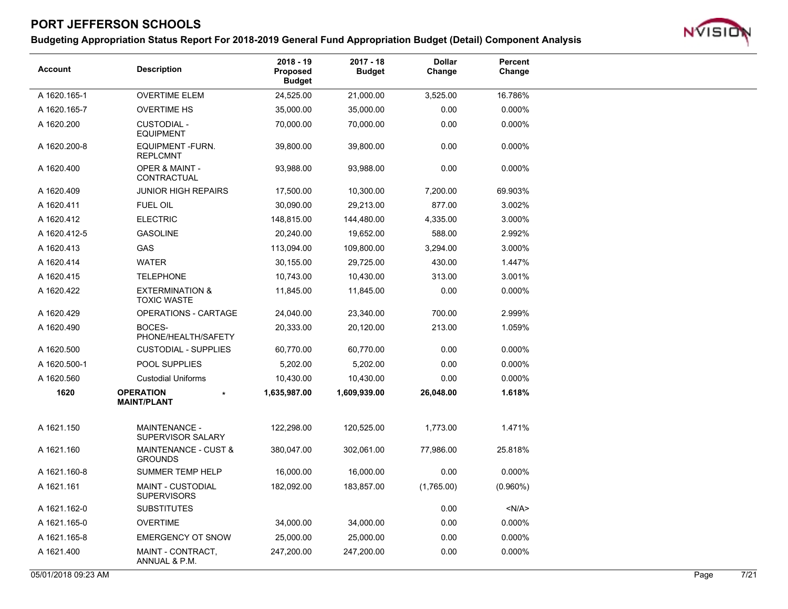### **Budgeting Appropriation Status Report For 2018-2019 General Fund Appropriation Budget (Detail) Component Analysis**



| <b>Account</b> | <b>Description</b>                               | $2018 - 19$<br>Proposed<br><b>Budget</b> | $2017 - 18$<br><b>Budget</b> | <b>Dollar</b><br>Change | Percent<br>Change |  |
|----------------|--------------------------------------------------|------------------------------------------|------------------------------|-------------------------|-------------------|--|
| A 1620.165-1   | <b>OVERTIME ELEM</b>                             | 24,525.00                                | 21,000.00                    | 3,525.00                | 16.786%           |  |
| A 1620.165-7   | <b>OVERTIME HS</b>                               | 35,000.00                                | 35,000.00                    | 0.00                    | 0.000%            |  |
| A 1620.200     | <b>CUSTODIAL -</b><br><b>EQUIPMENT</b>           | 70,000.00                                | 70,000.00                    | 0.00                    | 0.000%            |  |
| A 1620.200-8   | <b>EQUIPMENT-FURN.</b><br><b>REPLCMNT</b>        | 39,800.00                                | 39,800.00                    | 0.00                    | 0.000%            |  |
| A 1620.400     | OPER & MAINT -<br>CONTRACTUAL                    | 93,988.00                                | 93,988.00                    | 0.00                    | 0.000%            |  |
| A 1620.409     | <b>JUNIOR HIGH REPAIRS</b>                       | 17,500.00                                | 10,300.00                    | 7,200.00                | 69.903%           |  |
| A 1620.411     | <b>FUEL OIL</b>                                  | 30,090.00                                | 29,213.00                    | 877.00                  | 3.002%            |  |
| A 1620.412     | <b>ELECTRIC</b>                                  | 148,815.00                               | 144,480.00                   | 4,335.00                | 3.000%            |  |
| A 1620.412-5   | <b>GASOLINE</b>                                  | 20,240.00                                | 19,652.00                    | 588.00                  | 2.992%            |  |
| A 1620.413     | <b>GAS</b>                                       | 113,094.00                               | 109,800.00                   | 3,294.00                | 3.000%            |  |
| A 1620.414     | <b>WATER</b>                                     | 30,155.00                                | 29,725.00                    | 430.00                  | 1.447%            |  |
| A 1620.415     | <b>TELEPHONE</b>                                 | 10,743.00                                | 10,430.00                    | 313.00                  | 3.001%            |  |
| A 1620.422     | <b>EXTERMINATION &amp;</b><br><b>TOXIC WASTE</b> | 11,845.00                                | 11,845.00                    | 0.00                    | 0.000%            |  |
| A 1620.429     | <b>OPERATIONS - CARTAGE</b>                      | 24,040.00                                | 23,340.00                    | 700.00                  | 2.999%            |  |
| A 1620.490     | BOCES-<br>PHONE/HEALTH/SAFETY                    | 20,333.00                                | 20,120.00                    | 213.00                  | 1.059%            |  |
| A 1620.500     | <b>CUSTODIAL - SUPPLIES</b>                      | 60,770.00                                | 60,770.00                    | 0.00                    | 0.000%            |  |
| A 1620.500-1   | POOL SUPPLIES                                    | 5,202.00                                 | 5,202.00                     | 0.00                    | 0.000%            |  |
| A 1620.560     | <b>Custodial Uniforms</b>                        | 10,430.00                                | 10,430.00                    | 0.00                    | 0.000%            |  |
| 1620           | <b>OPERATION</b><br><b>MAINT/PLANT</b>           | 1,635,987.00                             | 1,609,939.00                 | 26,048.00               | 1.618%            |  |
| A 1621.150     | <b>MAINTENANCE -</b><br>SUPERVISOR SALARY        | 122,298.00                               | 120,525.00                   | 1,773.00                | 1.471%            |  |
| A 1621.160     | MAINTENANCE - CUST &<br><b>GROUNDS</b>           | 380,047.00                               | 302,061.00                   | 77,986.00               | 25.818%           |  |
| A 1621.160-8   | SUMMER TEMP HELP                                 | 16,000.00                                | 16,000.00                    | 0.00                    | 0.000%            |  |
| A 1621.161     | <b>MAINT - CUSTODIAL</b><br><b>SUPERVISORS</b>   | 182,092.00                               | 183,857.00                   | (1,765.00)              | $(0.960\%)$       |  |
| A 1621.162-0   | <b>SUBSTITUTES</b>                               |                                          |                              | 0.00                    | < N/A >           |  |
| A 1621.165-0   | <b>OVERTIME</b>                                  | 34,000.00                                | 34,000.00                    | 0.00                    | 0.000%            |  |
| A 1621.165-8   | <b>EMERGENCY OT SNOW</b>                         | 25,000.00                                | 25,000.00                    | 0.00                    | 0.000%            |  |
| A 1621.400     | MAINT - CONTRACT,<br>ANNUAL & P.M.               | 247,200.00                               | 247,200.00                   | 0.00                    | 0.000%            |  |

05/01/2018 09:23 AM Page 7/21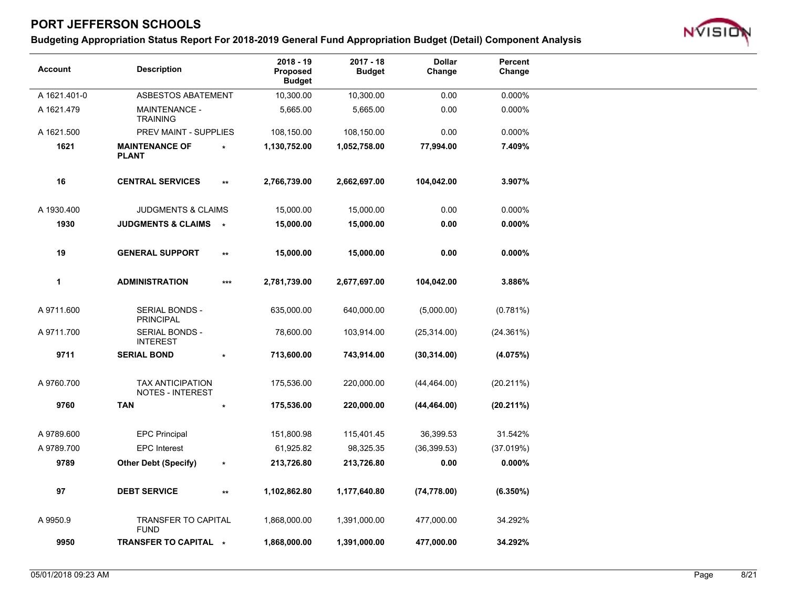

| <b>Account</b> | <b>Description</b>                                 |                 | $2018 - 19$<br>Proposed<br><b>Budget</b> | $2017 - 18$<br><b>Budget</b> | <b>Dollar</b><br>Change | Percent<br>Change |
|----------------|----------------------------------------------------|-----------------|------------------------------------------|------------------------------|-------------------------|-------------------|
| A 1621.401-0   | ASBESTOS ABATEMENT                                 |                 | 10,300.00                                | 10,300.00                    | 0.00                    | 0.000%            |
| A 1621.479     | <b>MAINTENANCE -</b><br><b>TRAINING</b>            |                 | 5,665.00                                 | 5,665.00                     | 0.00                    | 0.000%            |
| A 1621.500     | PREV MAINT - SUPPLIES                              |                 | 108,150.00                               | 108,150.00                   | 0.00                    | 0.000%            |
| 1621           | <b>MAINTENANCE OF</b><br><b>PLANT</b>              |                 | 1,130,752.00                             | 1,052,758.00                 | 77,994.00               | 7.409%            |
| 16             | <b>CENTRAL SERVICES</b>                            | $^{\star\star}$ | 2,766,739.00                             | 2,662,697.00                 | 104,042.00              | 3.907%            |
| A 1930.400     | <b>JUDGMENTS &amp; CLAIMS</b>                      |                 | 15,000.00                                | 15,000.00                    | 0.00                    | 0.000%            |
| 1930           | <b>JUDGMENTS &amp; CLAIMS</b>                      | $\star$         | 15,000.00                                | 15,000.00                    | 0.00                    | $0.000\%$         |
| 19             | <b>GENERAL SUPPORT</b>                             | $^{\star\star}$ | 15,000.00                                | 15,000.00                    | 0.00                    | $0.000\%$         |
| $\mathbf{1}$   | <b>ADMINISTRATION</b>                              | ***             | 2,781,739.00                             | 2,677,697.00                 | 104,042.00              | 3.886%            |
| A 9711.600     | SERIAL BONDS -<br><b>PRINCIPAL</b>                 |                 | 635,000.00                               | 640,000.00                   | (5,000.00)              | (0.781%)          |
| A 9711.700     | SERIAL BONDS -<br><b>INTEREST</b>                  |                 | 78,600.00                                | 103,914.00                   | (25, 314.00)            | (24.361%)         |
| 9711           | <b>SERIAL BOND</b>                                 |                 | 713,600.00                               | 743,914.00                   | (30, 314.00)            | (4.075%)          |
| A 9760.700     | <b>TAX ANTICIPATION</b><br><b>NOTES - INTEREST</b> |                 | 175,536.00                               | 220,000.00                   | (44, 464.00)            | (20.211%)         |
| 9760           | <b>TAN</b>                                         | $\star$         | 175,536.00                               | 220,000.00                   | (44, 464.00)            | (20.211%)         |
| A 9789.600     | <b>EPC Principal</b>                               |                 | 151,800.98                               | 115,401.45                   | 36,399.53               | 31.542%           |
| A 9789.700     | <b>EPC</b> Interest                                |                 | 61,925.82                                | 98,325.35                    | (36, 399.53)            | (37.019%)         |
| 9789           | <b>Other Debt (Specify)</b>                        | $\star$         | 213,726.80                               | 213,726.80                   | 0.00                    | $0.000\%$         |
| 97             | <b>DEBT SERVICE</b>                                | $\star\star$    | 1,102,862.80                             | 1,177,640.80                 | (74, 778.00)            | $(6.350\%)$       |
| A 9950.9       | <b>TRANSFER TO CAPITAL</b><br><b>FUND</b>          |                 | 1,868,000.00                             | 1,391,000.00                 | 477,000.00              | 34.292%           |
| 9950           | TRANSFER TO CAPITAL *                              |                 | 1,868,000.00                             | 1,391,000.00                 | 477,000.00              | 34.292%           |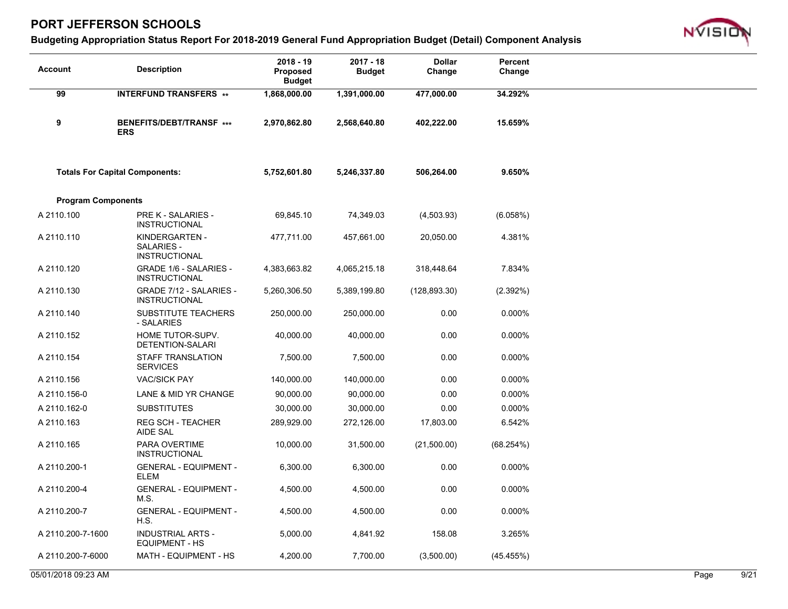

| <b>Account</b>            | <b>Description</b>                                          | 2018 - 19<br><b>Proposed</b><br><b>Budget</b> | $2017 - 18$<br><b>Budget</b> | <b>Dollar</b><br>Change | Percent<br>Change |
|---------------------------|-------------------------------------------------------------|-----------------------------------------------|------------------------------|-------------------------|-------------------|
| 99                        | <b>INTERFUND TRANSFERS **</b>                               | 1,868,000.00                                  | 1,391,000.00                 | 477,000.00              | 34.292%           |
| 9                         | BENEFITS/DEBT/TRANSF ***<br><b>ERS</b>                      | 2,970,862.80                                  | 2,568,640.80                 | 402,222.00              | 15.659%           |
|                           | <b>Totals For Capital Components:</b>                       | 5,752,601.80                                  | 5,246,337.80                 | 506,264.00              | 9.650%            |
| <b>Program Components</b> |                                                             |                                               |                              |                         |                   |
| A 2110.100                | <b>PRE K - SALARIES -</b><br><b>INSTRUCTIONAL</b>           | 69,845.10                                     | 74,349.03                    | (4,503.93)              | (6.058%)          |
| A 2110.110                | KINDERGARTEN -<br><b>SALARIES -</b><br><b>INSTRUCTIONAL</b> | 477,711.00                                    | 457,661.00                   | 20,050.00               | 4.381%            |
| A 2110.120                | <b>GRADE 1/6 - SALARIES -</b><br><b>INSTRUCTIONAL</b>       | 4,383,663.82                                  | 4,065,215.18                 | 318,448.64              | 7.834%            |
| A 2110.130                | GRADE 7/12 - SALARIES -<br><b>INSTRUCTIONAL</b>             | 5,260,306.50                                  | 5,389,199.80                 | (128, 893.30)           | (2.392%)          |
| A 2110.140                | SUBSTITUTE TEACHERS<br>- SALARIES                           | 250,000.00                                    | 250,000.00                   | 0.00                    | 0.000%            |
| A 2110.152                | HOME TUTOR-SUPV.<br>DETENTION-SALARI                        | 40,000.00                                     | 40,000.00                    | 0.00                    | 0.000%            |
| A 2110.154                | STAFF TRANSLATION<br><b>SERVICES</b>                        | 7,500.00                                      | 7,500.00                     | 0.00                    | 0.000%            |
| A 2110.156                | <b>VAC/SICK PAY</b>                                         | 140,000.00                                    | 140,000.00                   | 0.00                    | 0.000%            |
| A 2110.156-0              | LANE & MID YR CHANGE                                        | 90,000.00                                     | 90,000.00                    | 0.00                    | 0.000%            |
| A 2110.162-0              | <b>SUBSTITUTES</b>                                          | 30,000.00                                     | 30,000.00                    | 0.00                    | 0.000%            |
| A 2110.163                | <b>REG SCH - TEACHER</b><br>AIDE SAL                        | 289,929.00                                    | 272,126.00                   | 17,803.00               | 6.542%            |
| A 2110.165                | PARA OVERTIME<br><b>INSTRUCTIONAL</b>                       | 10,000.00                                     | 31,500.00                    | (21,500.00)             | (68.254%)         |
| A 2110.200-1              | <b>GENERAL - EQUIPMENT -</b><br><b>ELEM</b>                 | 6,300.00                                      | 6,300.00                     | 0.00                    | 0.000%            |
| A 2110.200-4              | <b>GENERAL - EQUIPMENT -</b><br>M.S.                        | 4,500.00                                      | 4,500.00                     | 0.00                    | 0.000%            |
| A 2110.200-7              | <b>GENERAL - EQUIPMENT -</b><br>H.S.                        | 4,500.00                                      | 4,500.00                     | 0.00                    | 0.000%            |
| A 2110.200-7-1600         | <b>INDUSTRIAL ARTS -</b><br><b>EQUIPMENT - HS</b>           | 5,000.00                                      | 4,841.92                     | 158.08                  | 3.265%            |
| A 2110.200-7-6000         | MATH - EQUIPMENT - HS                                       | 4,200.00                                      | 7,700.00                     | (3,500.00)              | (45.455%)         |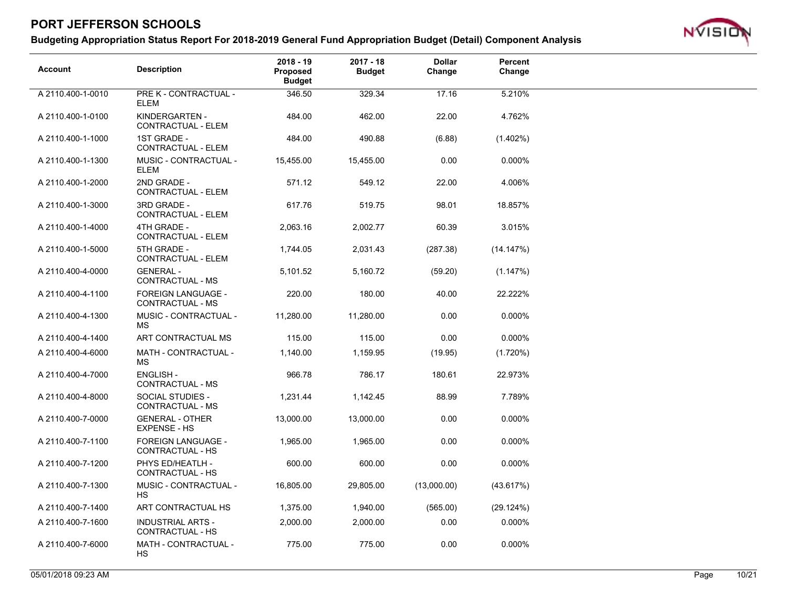

| <b>Account</b>    | <b>Description</b>                                   | $2018 - 19$<br><b>Proposed</b><br><b>Budget</b> | $2017 - 18$<br><b>Budget</b> | <b>Dollar</b><br>Change | Percent<br>Change |
|-------------------|------------------------------------------------------|-------------------------------------------------|------------------------------|-------------------------|-------------------|
| A 2110.400-1-0010 | PRE K - CONTRACTUAL -<br><b>ELEM</b>                 | 346.50                                          | 329.34                       | 17.16                   | 5.210%            |
| A 2110.400-1-0100 | KINDERGARTEN -<br>CONTRACTUAL - ELEM                 | 484.00                                          | 462.00                       | 22.00                   | 4.762%            |
| A 2110.400-1-1000 | 1ST GRADE -<br>CONTRACTUAL - ELEM                    | 484.00                                          | 490.88                       | (6.88)                  | $(1.402\%)$       |
| A 2110.400-1-1300 | MUSIC - CONTRACTUAL -<br><b>ELEM</b>                 | 15,455.00                                       | 15,455.00                    | 0.00                    | 0.000%            |
| A 2110.400-1-2000 | 2ND GRADE -<br>CONTRACTUAL - ELEM                    | 571.12                                          | 549.12                       | 22.00                   | 4.006%            |
| A 2110.400-1-3000 | 3RD GRADE -<br>CONTRACTUAL - ELEM                    | 617.76                                          | 519.75                       | 98.01                   | 18.857%           |
| A 2110.400-1-4000 | 4TH GRADE -<br>CONTRACTUAL - ELEM                    | 2,063.16                                        | 2,002.77                     | 60.39                   | 3.015%            |
| A 2110.400-1-5000 | 5TH GRADE -<br>CONTRACTUAL - ELEM                    | 1,744.05                                        | 2,031.43                     | (287.38)                | (14.147%)         |
| A 2110.400-4-0000 | <b>GENERAL -</b><br>CONTRACTUAL - MS                 | 5,101.52                                        | 5,160.72                     | (59.20)                 | (1.147%)          |
| A 2110.400-4-1100 | <b>FOREIGN LANGUAGE -</b><br>CONTRACTUAL - MS        | 220.00                                          | 180.00                       | 40.00                   | 22.222%           |
| A 2110.400-4-1300 | MUSIC - CONTRACTUAL -<br>MS.                         | 11,280.00                                       | 11,280.00                    | 0.00                    | 0.000%            |
| A 2110.400-4-1400 | ART CONTRACTUAL MS                                   | 115.00                                          | 115.00                       | 0.00                    | 0.000%            |
| A 2110.400-4-6000 | MATH - CONTRACTUAL -<br><b>MS</b>                    | 1,140.00                                        | 1,159.95                     | (19.95)                 | (1.720%)          |
| A 2110.400-4-7000 | <b>ENGLISH -</b><br>CONTRACTUAL - MS                 | 966.78                                          | 786.17                       | 180.61                  | 22.973%           |
| A 2110.400-4-8000 | SOCIAL STUDIES -<br>CONTRACTUAL - MS                 | 1,231.44                                        | 1,142.45                     | 88.99                   | 7.789%            |
| A 2110.400-7-0000 | <b>GENERAL - OTHER</b><br><b>EXPENSE - HS</b>        | 13,000.00                                       | 13,000.00                    | 0.00                    | 0.000%            |
| A 2110.400-7-1100 | <b>FOREIGN LANGUAGE -</b><br><b>CONTRACTUAL - HS</b> | 1,965.00                                        | 1,965.00                     | 0.00                    | 0.000%            |
| A 2110.400-7-1200 | PHYS ED/HEATLH -<br>CONTRACTUAL - HS                 | 600.00                                          | 600.00                       | 0.00                    | 0.000%            |
| A 2110.400-7-1300 | MUSIC - CONTRACTUAL -<br>HS.                         | 16,805.00                                       | 29,805.00                    | (13,000.00)             | (43.617%)         |
| A 2110.400-7-1400 | ART CONTRACTUAL HS                                   | 1,375.00                                        | 1,940.00                     | (565.00)                | (29.124%)         |
| A 2110.400-7-1600 | <b>INDUSTRIAL ARTS -</b><br>CONTRACTUAL - HS         | 2,000.00                                        | 2,000.00                     | 0.00                    | 0.000%            |
| A 2110.400-7-6000 | MATH - CONTRACTUAL -<br>HS.                          | 775.00                                          | 775.00                       | 0.00                    | 0.000%            |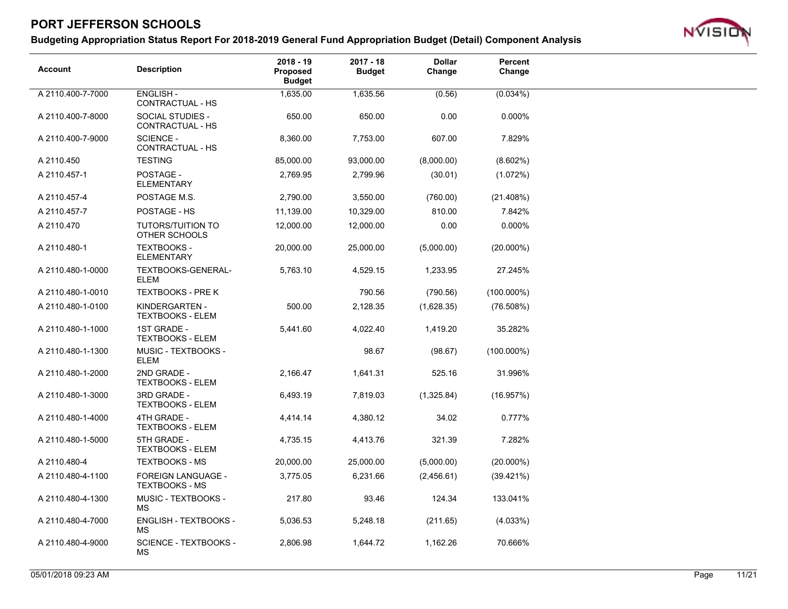

| <b>Account</b>    | <b>Description</b>                                 | $2018 - 19$<br><b>Proposed</b><br><b>Budget</b> | $2017 - 18$<br><b>Budget</b> | <b>Dollar</b><br>Change | Percent<br>Change |
|-------------------|----------------------------------------------------|-------------------------------------------------|------------------------------|-------------------------|-------------------|
| A 2110.400-7-7000 | <b>ENGLISH-</b><br>CONTRACTUAL - HS                | 1,635.00                                        | 1,635.56                     | (0.56)                  | (0.034%)          |
| A 2110.400-7-8000 | SOCIAL STUDIES -<br>CONTRACTUAL - HS               | 650.00                                          | 650.00                       | 0.00                    | 0.000%            |
| A 2110.400-7-9000 | <b>SCIENCE -</b><br>CONTRACTUAL - HS               | 8,360.00                                        | 7,753.00                     | 607.00                  | 7.829%            |
| A 2110.450        | <b>TESTING</b>                                     | 85,000.00                                       | 93,000.00                    | (8,000.00)              | $(8.602\%)$       |
| A 2110.457-1      | POSTAGE -<br><b>ELEMENTARY</b>                     | 2,769.95                                        | 2,799.96                     | (30.01)                 | (1.072%)          |
| A 2110.457-4      | POSTAGE M.S.                                       | 2,790.00                                        | 3,550.00                     | (760.00)                | (21.408%)         |
| A 2110.457-7      | POSTAGE - HS                                       | 11,139.00                                       | 10,329.00                    | 810.00                  | 7.842%            |
| A 2110.470        | <b>TUTORS/TUITION TO</b><br>OTHER SCHOOLS          | 12,000.00                                       | 12,000.00                    | 0.00                    | 0.000%            |
| A 2110.480-1      | <b>TEXTBOOKS -</b><br><b>ELEMENTARY</b>            | 20,000.00                                       | 25,000.00                    | (5,000.00)              | $(20.000\%)$      |
| A 2110.480-1-0000 | TEXTBOOKS-GENERAL-<br><b>ELEM</b>                  | 5,763.10                                        | 4,529.15                     | 1,233.95                | 27.245%           |
| A 2110.480-1-0010 | <b>TEXTBOOKS - PRE K</b>                           |                                                 | 790.56                       | (790.56)                | $(100.000\%)$     |
| A 2110.480-1-0100 | KINDERGARTEN -<br><b>TEXTBOOKS - ELEM</b>          | 500.00                                          | 2,128.35                     | (1,628.35)              | (76.508%)         |
| A 2110.480-1-1000 | 1ST GRADE -<br><b>TEXTBOOKS - ELEM</b>             | 5,441.60                                        | 4,022.40                     | 1,419.20                | 35.282%           |
| A 2110.480-1-1300 | MUSIC - TEXTBOOKS -<br><b>ELEM</b>                 |                                                 | 98.67                        | (98.67)                 | $(100.000\%)$     |
| A 2110.480-1-2000 | 2ND GRADE -<br><b>TEXTBOOKS - ELEM</b>             | 2,166.47                                        | 1,641.31                     | 525.16                  | 31.996%           |
| A 2110.480-1-3000 | 3RD GRADE -<br><b>TEXTBOOKS - ELEM</b>             | 6,493.19                                        | 7,819.03                     | (1,325.84)              | (16.957%)         |
| A 2110.480-1-4000 | 4TH GRADE -<br><b>TEXTBOOKS - ELEM</b>             | 4,414.14                                        | 4,380.12                     | 34.02                   | 0.777%            |
| A 2110.480-1-5000 | 5TH GRADE -<br><b>TEXTBOOKS - ELEM</b>             | 4,735.15                                        | 4,413.76                     | 321.39                  | 7.282%            |
| A 2110.480-4      | <b>TEXTBOOKS - MS</b>                              | 20,000.00                                       | 25,000.00                    | (5,000.00)              | $(20.000\%)$      |
| A 2110.480-4-1100 | <b>FOREIGN LANGUAGE -</b><br><b>TEXTBOOKS - MS</b> | 3,775.05                                        | 6,231.66                     | (2,456.61)              | $(39.421\%)$      |
| A 2110.480-4-1300 | MUSIC - TEXTBOOKS -<br>МS                          | 217.80                                          | 93.46                        | 124.34                  | 133.041%          |
| A 2110.480-4-7000 | ENGLISH - TEXTBOOKS -<br><b>MS</b>                 | 5,036.53                                        | 5,248.18                     | (211.65)                | (4.033%)          |
| A 2110.480-4-9000 | <b>SCIENCE - TEXTBOOKS -</b><br><b>MS</b>          | 2,806.98                                        | 1,644.72                     | 1,162.26                | 70.666%           |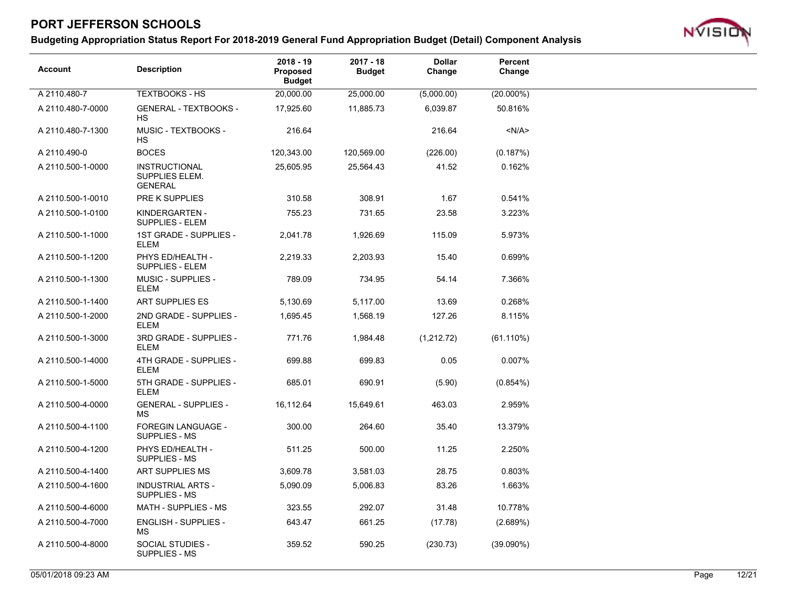

| <b>Account</b>    | <b>Description</b>                                | $2018 - 19$<br>Proposed<br>Budget | $2017 - 18$<br><b>Budget</b> | <b>Dollar</b><br>Change | Percent<br>Change |
|-------------------|---------------------------------------------------|-----------------------------------|------------------------------|-------------------------|-------------------|
| A 2110.480-7      | <b>TEXTBOOKS - HS</b>                             | 20,000.00                         | 25,000.00                    | (5,000.00)              | $(20.000\%)$      |
| A 2110.480-7-0000 | <b>GENERAL - TEXTBOOKS -</b><br>HS.               | 17,925.60                         | 11,885.73                    | 6,039.87                | 50.816%           |
| A 2110.480-7-1300 | MUSIC - TEXTBOOKS -<br>HS.                        | 216.64                            |                              | 216.64                  | < N/A >           |
| A 2110.490-0      | <b>BOCES</b>                                      | 120,343.00                        | 120,569.00                   | (226.00)                | (0.187%)          |
| A 2110.500-1-0000 | INSTRUCTIONAL<br>SUPPLIES ELEM.<br><b>GENERAL</b> | 25,605.95                         | 25,564.43                    | 41.52                   | 0.162%            |
| A 2110.500-1-0010 | PRE K SUPPLIES                                    | 310.58                            | 308.91                       | 1.67                    | 0.541%            |
| A 2110.500-1-0100 | KINDERGARTEN -<br>SUPPLIES - ELEM                 | 755.23                            | 731.65                       | 23.58                   | 3.223%            |
| A 2110.500-1-1000 | 1ST GRADE - SUPPLIES -<br>ELEM                    | 2,041.78                          | 1,926.69                     | 115.09                  | 5.973%            |
| A 2110.500-1-1200 | PHYS ED/HEALTH -<br><b>SUPPLIES - ELEM</b>        | 2,219.33                          | 2,203.93                     | 15.40                   | 0.699%            |
| A 2110.500-1-1300 | <b>MUSIC - SUPPLIES -</b><br><b>ELEM</b>          | 789.09                            | 734.95                       | 54.14                   | 7.366%            |
| A 2110.500-1-1400 | ART SUPPLIES ES                                   | 5,130.69                          | 5,117.00                     | 13.69                   | 0.268%            |
| A 2110.500-1-2000 | 2ND GRADE - SUPPLIES -<br>ELEM                    | 1,695.45                          | 1,568.19                     | 127.26                  | 8.115%            |
| A 2110.500-1-3000 | 3RD GRADE - SUPPLIES -<br><b>ELEM</b>             | 771.76                            | 1,984.48                     | (1,212.72)              | (61.110%)         |
| A 2110.500-1-4000 | 4TH GRADE - SUPPLIES -<br><b>ELEM</b>             | 699.88                            | 699.83                       | 0.05                    | 0.007%            |
| A 2110.500-1-5000 | 5TH GRADE - SUPPLIES -<br><b>ELEM</b>             | 685.01                            | 690.91                       | (5.90)                  | (0.854%)          |
| A 2110.500-4-0000 | <b>GENERAL - SUPPLIES -</b><br>МS                 | 16,112.64                         | 15,649.61                    | 463.03                  | 2.959%            |
| A 2110.500-4-1100 | <b>FOREGIN LANGUAGE -</b><br><b>SUPPLIES - MS</b> | 300.00                            | 264.60                       | 35.40                   | 13.379%           |
| A 2110.500-4-1200 | PHYS ED/HEALTH -<br><b>SUPPLIES - MS</b>          | 511.25                            | 500.00                       | 11.25                   | 2.250%            |
| A 2110.500-4-1400 | ART SUPPLIES MS                                   | 3,609.78                          | 3,581.03                     | 28.75                   | 0.803%            |
| A 2110.500-4-1600 | <b>INDUSTRIAL ARTS -</b><br>SUPPLIES - MS         | 5,090.09                          | 5,006.83                     | 83.26                   | 1.663%            |
| A 2110.500-4-6000 | MATH - SUPPLIES - MS                              | 323.55                            | 292.07                       | 31.48                   | 10.778%           |
| A 2110.500-4-7000 | <b>ENGLISH - SUPPLIES -</b><br>MS                 | 643.47                            | 661.25                       | (17.78)                 | (2.689%)          |
| A 2110.500-4-8000 | SOCIAL STUDIES -<br>SUPPLIES - MS                 | 359.52                            | 590.25                       | (230.73)                | $(39.090\%)$      |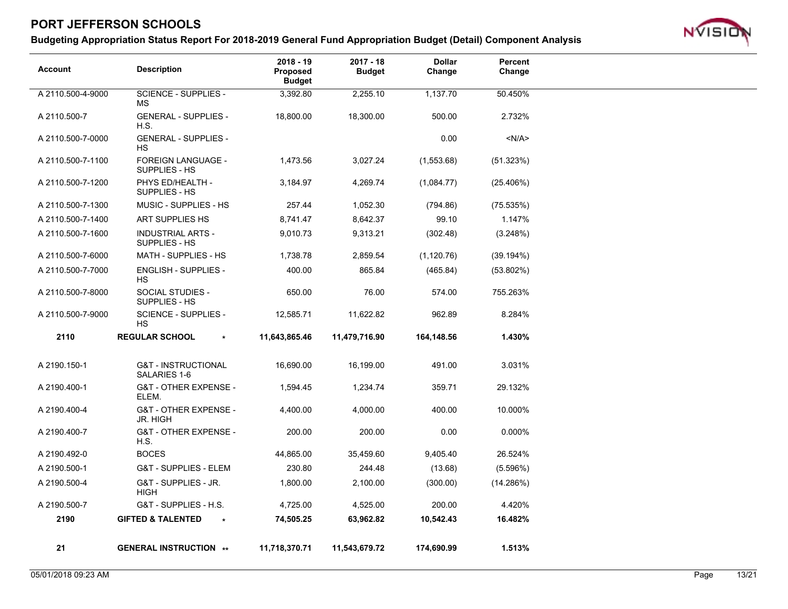

| <b>Account</b>    | <b>Description</b>                             | $2018 - 19$<br><b>Proposed</b><br><b>Budget</b> | $2017 - 18$<br><b>Budget</b> | <b>Dollar</b><br>Change | Percent<br>Change |
|-------------------|------------------------------------------------|-------------------------------------------------|------------------------------|-------------------------|-------------------|
| A 2110.500-4-9000 | SCIENCE - SUPPLIES -<br><b>MS</b>              | 3,392.80                                        | 2,255.10                     | 1,137.70                | 50.450%           |
| A 2110.500-7      | <b>GENERAL - SUPPLIES -</b><br>H.S.            | 18,800.00                                       | 18,300.00                    | 500.00                  | 2.732%            |
| A 2110.500-7-0000 | <b>GENERAL - SUPPLIES -</b><br>HS              |                                                 |                              | 0.00                    | < N/A >           |
| A 2110.500-7-1100 | <b>FOREIGN LANGUAGE -</b><br>SUPPLIES - HS     | 1,473.56                                        | 3,027.24                     | (1,553.68)              | (51.323%)         |
| A 2110.500-7-1200 | PHYS ED/HEALTH -<br>SUPPLIES - HS              | 3,184.97                                        | 4,269.74                     | (1,084.77)              | (25.406%)         |
| A 2110.500-7-1300 | MUSIC - SUPPLIES - HS                          | 257.44                                          | 1,052.30                     | (794.86)                | (75.535%)         |
| A 2110.500-7-1400 | ART SUPPLIES HS                                | 8,741.47                                        | 8,642.37                     | 99.10                   | 1.147%            |
| A 2110.500-7-1600 | <b>INDUSTRIAL ARTS -</b><br>SUPPLIES - HS      | 9,010.73                                        | 9,313.21                     | (302.48)                | (3.248%)          |
| A 2110.500-7-6000 | MATH - SUPPLIES - HS                           | 1,738.78                                        | 2,859.54                     | (1, 120.76)             | (39.194%)         |
| A 2110.500-7-7000 | <b>ENGLISH - SUPPLIES -</b><br><b>HS</b>       | 400.00                                          | 865.84                       | (465.84)                | $(53.802\%)$      |
| A 2110.500-7-8000 | SOCIAL STUDIES -<br>SUPPLIES - HS              | 650.00                                          | 76.00                        | 574.00                  | 755.263%          |
| A 2110.500-7-9000 | <b>SCIENCE - SUPPLIES -</b><br><b>HS</b>       | 12,585.71                                       | 11,622.82                    | 962.89                  | 8.284%            |
| 2110              | <b>REGULAR SCHOOL</b><br>$\star$               | 11,643,865.46                                   | 11,479,716.90                | 164,148.56              | 1.430%            |
| A 2190.150-1      | <b>G&amp;T - INSTRUCTIONAL</b><br>SALARIES 1-6 | 16,690.00                                       | 16,199.00                    | 491.00                  | 3.031%            |
| A 2190.400-1      | <b>G&amp;T - OTHER EXPENSE -</b><br>ELEM.      | 1,594.45                                        | 1,234.74                     | 359.71                  | 29.132%           |
| A 2190.400-4      | G&T - OTHER EXPENSE -<br><b>JR. HIGH</b>       | 4,400.00                                        | 4,000.00                     | 400.00                  | 10.000%           |
| A 2190.400-7      | <b>G&amp;T - OTHER EXPENSE -</b><br>H.S.       | 200.00                                          | 200.00                       | 0.00                    | 0.000%            |
| A 2190.492-0      | <b>BOCES</b>                                   | 44,865.00                                       | 35,459.60                    | 9,405.40                | 26.524%           |
| A 2190.500-1      | <b>G&amp;T - SUPPLIES - ELEM</b>               | 230.80                                          | 244.48                       | (13.68)                 | (5.596%)          |
| A 2190.500-4      | G&T - SUPPLIES - JR.<br><b>HIGH</b>            | 1,800.00                                        | 2,100.00                     | (300.00)                | (14.286%)         |
| A 2190.500-7      | G&T - SUPPLIES - H.S.                          | 4,725.00                                        | 4,525.00                     | 200.00                  | 4.420%            |
| 2190              | <b>GIFTED &amp; TALENTED</b><br>$\star$        | 74,505.25                                       | 63,962.82                    | 10,542.43               | 16.482%           |
| 21                | <b>GENERAL INSTRUCTION **</b>                  | 11,718,370.71                                   | 11,543,679.72                | 174,690.99              | 1.513%            |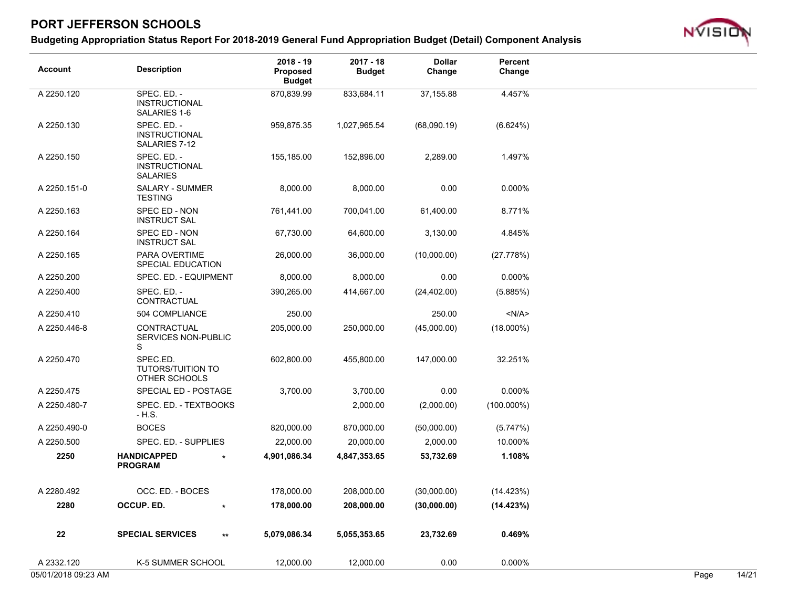

| <b>Account</b> | <b>Description</b>                                     | $2018 - 19$<br><b>Proposed</b><br><b>Budget</b> | $2017 - 18$<br><b>Budget</b> | <b>Dollar</b><br>Change | Percent<br>Change |  |
|----------------|--------------------------------------------------------|-------------------------------------------------|------------------------------|-------------------------|-------------------|--|
| A 2250.120     | SPEC. ED. -<br><b>INSTRUCTIONAL</b><br>SALARIES 1-6    | 870,839.99                                      | 833,684.11                   | 37,155.88               | 4.457%            |  |
| A 2250.130     | SPEC. ED. -<br><b>INSTRUCTIONAL</b><br>SALARIES 7-12   | 959,875.35                                      | 1,027,965.54                 | (68,090.19)             | (6.624%)          |  |
| A 2250.150     | SPEC. ED. -<br><b>INSTRUCTIONAL</b><br><b>SALARIES</b> | 155,185.00                                      | 152,896.00                   | 2,289.00                | 1.497%            |  |
| A 2250.151-0   | SALARY - SUMMER<br><b>TESTING</b>                      | 8,000.00                                        | 8,000.00                     | 0.00                    | 0.000%            |  |
| A 2250.163     | SPEC ED - NON<br><b>INSTRUCT SAL</b>                   | 761,441.00                                      | 700,041.00                   | 61,400.00               | 8.771%            |  |
| A 2250.164     | SPEC ED - NON<br><b>INSTRUCT SAL</b>                   | 67,730.00                                       | 64,600.00                    | 3,130.00                | 4.845%            |  |
| A 2250.165     | PARA OVERTIME<br>SPECIAL EDUCATION                     | 26,000.00                                       | 36,000.00                    | (10,000.00)             | (27.778%)         |  |
| A 2250.200     | SPEC. ED. - EQUIPMENT                                  | 8,000.00                                        | 8,000.00                     | 0.00                    | 0.000%            |  |
| A 2250.400     | SPEC. ED. -<br>CONTRACTUAL                             | 390,265.00                                      | 414,667.00                   | (24, 402.00)            | (5.885%)          |  |
| A 2250.410     | 504 COMPLIANCE                                         | 250.00                                          |                              | 250.00                  | < N/A >           |  |
| A 2250.446-8   | CONTRACTUAL<br>SERVICES NON-PUBLIC<br>S                | 205,000.00                                      | 250,000.00                   | (45,000.00)             | $(18.000\%)$      |  |
| A 2250.470     | SPEC.ED.<br><b>TUTORS/TUITION TO</b><br>OTHER SCHOOLS  | 602,800.00                                      | 455,800.00                   | 147,000.00              | 32.251%           |  |
| A 2250.475     | SPECIAL ED - POSTAGE                                   | 3,700.00                                        | 3,700.00                     | 0.00                    | 0.000%            |  |
| A 2250.480-7   | SPEC. ED. - TEXTBOOKS<br>$-H.S.$                       |                                                 | 2,000.00                     | (2,000.00)              | $(100.000\%)$     |  |
| A 2250.490-0   | <b>BOCES</b>                                           | 820,000.00                                      | 870,000.00                   | (50,000.00)             | (5.747%)          |  |
| A 2250.500     | SPEC. ED. - SUPPLIES                                   | 22,000.00                                       | 20,000.00                    | 2,000.00                | 10.000%           |  |
| 2250           | <b>HANDICAPPED</b><br><b>PROGRAM</b>                   | 4,901,086.34                                    | 4,847,353.65                 | 53,732.69               | 1.108%            |  |
| A 2280.492     | OCC. ED. - BOCES                                       | 178,000.00                                      | 208,000.00                   | (30,000.00)             | (14.423%)         |  |
| 2280           | OCCUP. ED.                                             | 178,000.00                                      | 208,000.00                   | (30,000.00)             | (14.423%)         |  |
| 22             | <b>SPECIAL SERVICES</b>                                | 5,079,086.34<br>$^{\star\star}$                 | 5,055,353.65                 | 23,732.69               | 0.469%            |  |
| A 2332.120     | K-5 SUMMER SCHOOL                                      | 12,000.00                                       | 12,000.00                    | 0.00                    | 0.000%            |  |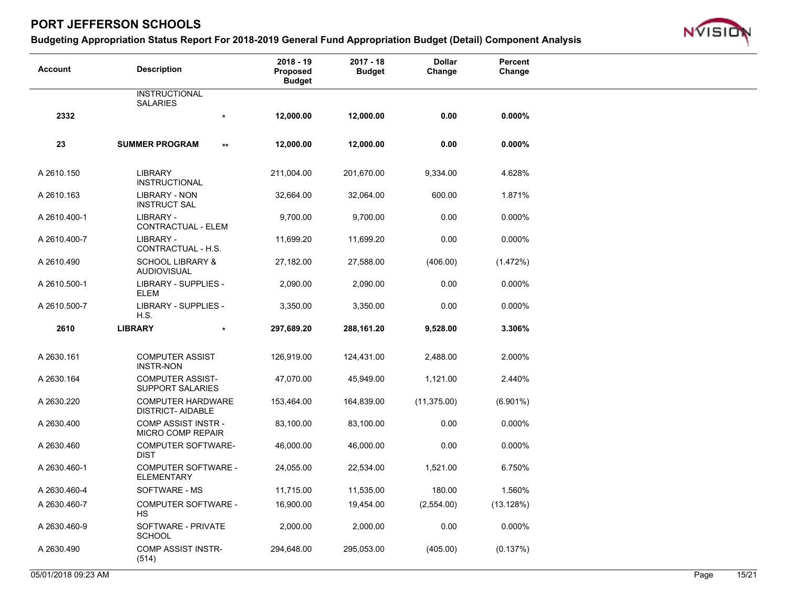

| <b>Account</b> | <b>Description</b>                                   | $2018 - 19$<br>Proposed<br><b>Budget</b> | $2017 - 18$<br><b>Budget</b> | <b>Dollar</b><br>Change | Percent<br>Change |  |
|----------------|------------------------------------------------------|------------------------------------------|------------------------------|-------------------------|-------------------|--|
|                | <b>INSTRUCTIONAL</b><br><b>SALARIES</b>              |                                          |                              |                         |                   |  |
| 2332           | $\star$                                              | 12,000.00                                | 12,000.00                    | 0.00                    | $0.000\%$         |  |
| 23             | <b>SUMMER PROGRAM</b><br>$\star\star$                | 12,000.00                                | 12,000.00                    | 0.00                    | 0.000%            |  |
|                |                                                      |                                          |                              |                         |                   |  |
| A 2610.150     | <b>LIBRARY</b><br><b>INSTRUCTIONAL</b>               | 211,004.00                               | 201,670.00                   | 9,334.00                | 4.628%            |  |
| A 2610.163     | <b>LIBRARY - NON</b><br><b>INSTRUCT SAL</b>          | 32,664.00                                | 32,064.00                    | 600.00                  | 1.871%            |  |
| A 2610.400-1   | LIBRARY -<br>CONTRACTUAL - ELEM                      | 9,700.00                                 | 9,700.00                     | 0.00                    | 0.000%            |  |
| A 2610.400-7   | LIBRARY -<br>CONTRACTUAL - H.S.                      | 11,699.20                                | 11,699.20                    | 0.00                    | 0.000%            |  |
| A 2610.490     | <b>SCHOOL LIBRARY &amp;</b><br><b>AUDIOVISUAL</b>    | 27,182.00                                | 27,588.00                    | (406.00)                | (1.472%)          |  |
| A 2610.500-1   | LIBRARY - SUPPLIES -<br>ELEM                         | 2,090.00                                 | 2,090.00                     | 0.00                    | 0.000%            |  |
| A 2610.500-7   | LIBRARY - SUPPLIES -<br>H.S.                         | 3,350.00                                 | 3,350.00                     | 0.00                    | 0.000%            |  |
| 2610           | <b>LIBRARY</b>                                       | 297,689.20                               | 288,161.20                   | 9,528.00                | 3.306%            |  |
| A 2630.161     | <b>COMPUTER ASSIST</b>                               | 126,919.00                               | 124,431.00                   | 2,488.00                | 2.000%            |  |
|                | <b>INSTR-NON</b>                                     |                                          |                              |                         |                   |  |
| A 2630.164     | <b>COMPUTER ASSIST-</b><br><b>SUPPORT SALARIES</b>   | 47,070.00                                | 45,949.00                    | 1,121.00                | 2.440%            |  |
| A 2630.220     | <b>COMPUTER HARDWARE</b><br><b>DISTRICT- AIDABLE</b> | 153,464.00                               | 164,839.00                   | (11, 375.00)            | $(6.901\%)$       |  |
| A 2630.400     | <b>COMP ASSIST INSTR -</b><br>MICRO COMP REPAIR      | 83,100.00                                | 83,100.00                    | 0.00                    | 0.000%            |  |
| A 2630.460     | <b>COMPUTER SOFTWARE-</b><br><b>DIST</b>             | 46,000.00                                | 46,000.00                    | 0.00                    | 0.000%            |  |
| A 2630.460-1   | <b>COMPUTER SOFTWARE -</b><br><b>ELEMENTARY</b>      | 24,055.00                                | 22,534.00                    | 1,521.00                | 6.750%            |  |
| A 2630.460-4   | SOFTWARE - MS                                        | 11,715.00                                | 11,535.00                    | 180.00                  | 1.560%            |  |
| A 2630.460-7   | <b>COMPUTER SOFTWARE -</b><br><b>HS</b>              | 16,900.00                                | 19,454.00                    | (2,554.00)              | (13.128%)         |  |
| A 2630.460-9   | SOFTWARE - PRIVATE<br><b>SCHOOL</b>                  | 2,000.00                                 | 2,000.00                     | 0.00                    | 0.000%            |  |
| A 2630.490     | <b>COMP ASSIST INSTR-</b><br>(514)                   | 294,648.00                               | 295,053.00                   | (405.00)                | (0.137%)          |  |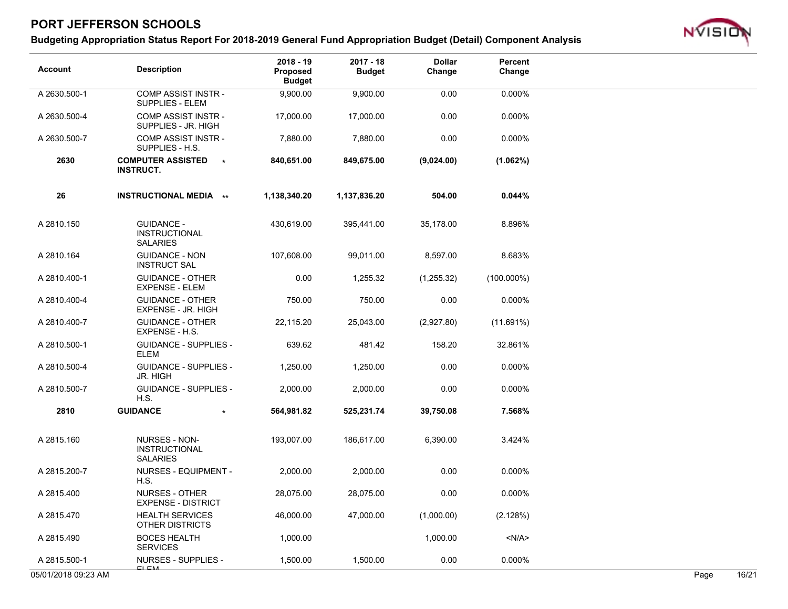

| <b>Description</b>                                           | $2018 - 19$<br><b>Proposed</b><br><b>Budget</b>                                        | $2017 - 18$<br><b>Budget</b> | <b>Dollar</b><br>Change | Percent<br>Change |       |
|--------------------------------------------------------------|----------------------------------------------------------------------------------------|------------------------------|-------------------------|-------------------|-------|
| <b>COMP ASSIST INSTR-</b><br>SUPPLIES - ELEM                 | 9,900.00                                                                               | 9,900.00                     | 0.00                    | 0.000%            |       |
| <b>COMP ASSIST INSTR-</b><br>SUPPLIES - JR. HIGH             | 17,000.00                                                                              | 17,000.00                    | 0.00                    | 0.000%            |       |
| <b>COMP ASSIST INSTR-</b><br>SUPPLIES - H.S.                 | 7,880.00                                                                               | 7,880.00                     | 0.00                    | 0.000%            |       |
| <b>COMPUTER ASSISTED</b><br>$\star$<br><b>INSTRUCT.</b>      | 840,651.00                                                                             | 849,675.00                   | (9,024.00)              | (1.062%)          |       |
| <b>INSTRUCTIONAL MEDIA **</b>                                | 1,138,340.20                                                                           | 1,137,836.20                 | 504.00                  | 0.044%            |       |
| <b>GUIDANCE -</b><br><b>INSTRUCTIONAL</b><br><b>SALARIES</b> | 430,619.00                                                                             | 395,441.00                   | 35,178.00               | 8.896%            |       |
| <b>GUIDANCE - NON</b><br><b>INSTRUCT SAL</b>                 | 107,608.00                                                                             | 99,011.00                    | 8,597.00                | 8.683%            |       |
| <b>GUIDANCE - OTHER</b><br><b>EXPENSE - ELEM</b>             | 0.00                                                                                   | 1,255.32                     | (1,255.32)              | $(100.000\%)$     |       |
| <b>GUIDANCE - OTHER</b><br>EXPENSE - JR. HIGH                | 750.00                                                                                 | 750.00                       | 0.00                    | 0.000%            |       |
| <b>GUIDANCE - OTHER</b><br>EXPENSE - H.S.                    | 22,115.20                                                                              | 25,043.00                    | (2,927.80)              | (11.691%)         |       |
| <b>GUIDANCE - SUPPLIES -</b>                                 | 639.62                                                                                 | 481.42                       | 158.20                  | 32.861%           |       |
| <b>GUIDANCE - SUPPLIES -</b><br><b>JR. HIGH</b>              | 1,250.00                                                                               | 1,250.00                     | 0.00                    | 0.000%            |       |
| <b>GUIDANCE - SUPPLIES -</b>                                 | 2,000.00                                                                               | 2,000.00                     | 0.00                    | 0.000%            |       |
| <b>GUIDANCE</b>                                              | 564,981.82                                                                             | 525,231.74                   | 39,750.08               | 7.568%            |       |
| NURSES - NON-<br><b>INSTRUCTIONAL</b><br><b>SALARIES</b>     | 193,007.00                                                                             | 186,617.00                   | 6,390.00                | 3.424%            |       |
| NURSES - EQUIPMENT -<br>H.S.                                 | 2,000.00                                                                               | 2,000.00                     | 0.00                    | 0.000%            |       |
| NURSES - OTHER                                               | 28,075.00                                                                              | 28,075.00                    | 0.00                    | 0.000%            |       |
| <b>HEALTH SERVICES</b>                                       | 46,000.00                                                                              | 47,000.00                    | (1,000.00)              | (2.128%)          |       |
| <b>BOCES HEALTH</b>                                          | 1,000.00                                                                               |                              | 1,000.00                | < N/A >           |       |
| <b>NURSES - SUPPLIES -</b><br><b>CLCM</b>                    | 1,500.00                                                                               | 1,500.00                     | 0.00                    | 0.000%            | 16/21 |
|                                                              | <b>ELEM</b><br>H.S.<br><b>EXPENSE - DISTRICT</b><br>OTHER DISTRICTS<br><b>SERVICES</b> |                              |                         |                   | Page  |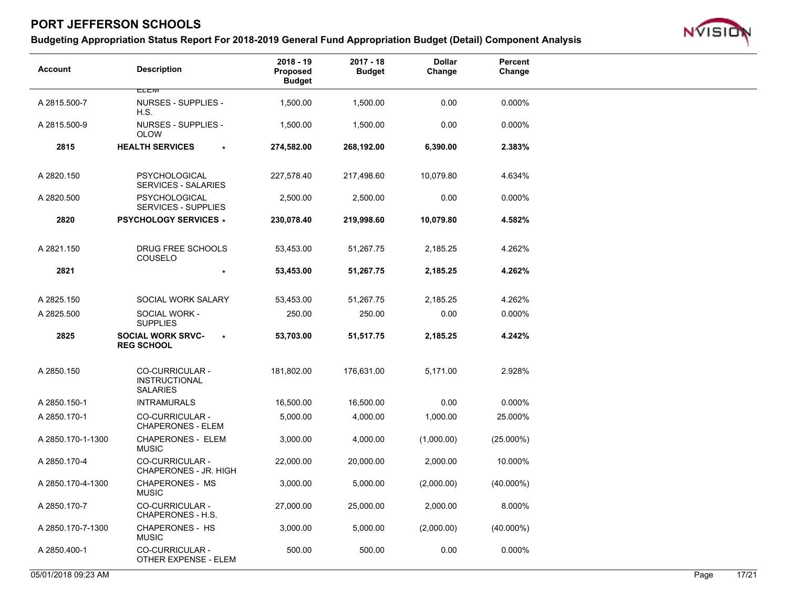

| <b>Account</b>      | <b>Description</b>                                         | $2018 - 19$<br>Proposed<br><b>Budget</b> | $2017 - 18$<br><b>Budget</b> | <b>Dollar</b><br>Change | Percent<br>Change |      |       |
|---------------------|------------------------------------------------------------|------------------------------------------|------------------------------|-------------------------|-------------------|------|-------|
| A 2815.500-7        | <b>CLCIVI</b><br><b>NURSES - SUPPLIES -</b>                | 1,500.00                                 | 1,500.00                     | 0.00                    | 0.000%            |      |       |
|                     | H.S.                                                       |                                          |                              |                         |                   |      |       |
| A 2815.500-9        | <b>NURSES - SUPPLIES -</b><br><b>OLOW</b>                  | 1,500.00                                 | 1,500.00                     | 0.00                    | 0.000%            |      |       |
| 2815                | <b>HEALTH SERVICES</b><br>$\star$                          | 274,582.00                               | 268,192.00                   | 6,390.00                | 2.383%            |      |       |
| A 2820.150          | <b>PSYCHOLOGICAL</b><br><b>SERVICES - SALARIES</b>         | 227,578.40                               | 217,498.60                   | 10,079.80               | 4.634%            |      |       |
| A 2820.500          | PSYCHOLOGICAL<br><b>SERVICES - SUPPLIES</b>                | 2,500.00                                 | 2,500.00                     | 0.00                    | 0.000%            |      |       |
| 2820                | <b>PSYCHOLOGY SERVICES *</b>                               | 230,078.40                               | 219,998.60                   | 10,079.80               | 4.582%            |      |       |
| A 2821.150          | DRUG FREE SCHOOLS<br>COUSELO                               | 53,453.00                                | 51,267.75                    | 2,185.25                | 4.262%            |      |       |
| 2821                | $\star$                                                    | 53,453.00                                | 51,267.75                    | 2,185.25                | 4.262%            |      |       |
| A 2825.150          | SOCIAL WORK SALARY                                         | 53,453.00                                | 51,267.75                    | 2,185.25                | 4.262%            |      |       |
| A 2825.500          | SOCIAL WORK -<br><b>SUPPLIES</b>                           | 250.00                                   | 250.00                       | 0.00                    | 0.000%            |      |       |
| 2825                | <b>SOCIAL WORK SRVC-</b><br>$\star$<br><b>REG SCHOOL</b>   | 53,703.00                                | 51,517.75                    | 2,185.25                | 4.242%            |      |       |
| A 2850.150          | <b>CO-CURRICULAR -</b><br>INSTRUCTIONAL<br><b>SALARIES</b> | 181,802.00                               | 176,631.00                   | 5,171.00                | 2.928%            |      |       |
| A 2850.150-1        | <b>INTRAMURALS</b>                                         | 16,500.00                                | 16,500.00                    | 0.00                    | 0.000%            |      |       |
| A 2850.170-1        | CO-CURRICULAR -<br><b>CHAPERONES - ELEM</b>                | 5,000.00                                 | 4,000.00                     | 1,000.00                | 25.000%           |      |       |
| A 2850.170-1-1300   | <b>CHAPERONES - ELEM</b><br><b>MUSIC</b>                   | 3,000.00                                 | 4,000.00                     | (1,000.00)              | $(25.000\%)$      |      |       |
| A 2850.170-4        | CO-CURRICULAR -<br>CHAPERONES - JR. HIGH                   | 22,000.00                                | 20,000.00                    | 2,000.00                | 10.000%           |      |       |
| A 2850.170-4-1300   | <b>CHAPERONES - MS</b><br><b>MUSIC</b>                     | 3,000.00                                 | 5,000.00                     | (2,000.00)              | $(40.000\%)$      |      |       |
| A 2850.170-7        | CO-CURRICULAR -<br>CHAPERONES - H.S.                       | 27,000.00                                | 25,000.00                    | 2,000.00                | 8.000%            |      |       |
| A 2850.170-7-1300   | <b>CHAPERONES - HS</b><br><b>MUSIC</b>                     | 3,000.00                                 | 5,000.00                     | (2,000.00)              | $(40.000\%)$      |      |       |
| A 2850.400-1        | CO-CURRICULAR -<br>OTHER EXPENSE - ELEM                    | 500.00                                   | 500.00                       | 0.00                    | 0.000%            |      |       |
| 05/01/2018 09:23 AM |                                                            |                                          |                              |                         |                   | Page | 17/21 |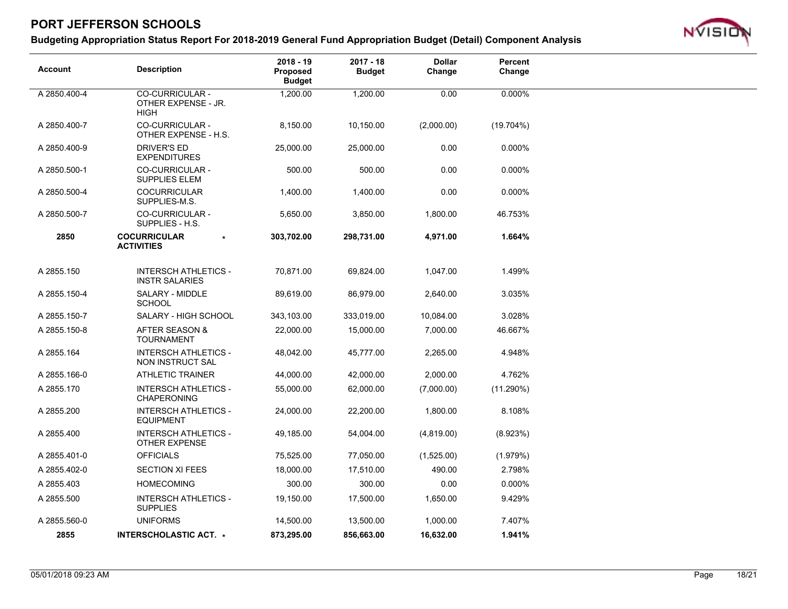

| <b>Account</b> | <b>Description</b>                                    | 2018 - 19<br><b>Proposed</b><br><b>Budget</b> | $2017 - 18$<br><b>Budget</b> | <b>Dollar</b><br>Change | <b>Percent</b><br>Change |
|----------------|-------------------------------------------------------|-----------------------------------------------|------------------------------|-------------------------|--------------------------|
| A 2850.400-4   | CO-CURRICULAR -<br>OTHER EXPENSE - JR.<br><b>HIGH</b> | 1,200.00                                      | 1,200.00                     | 0.00                    | 0.000%                   |
| A 2850.400-7   | <b>CO-CURRICULAR -</b><br>OTHER EXPENSE - H.S.        | 8,150.00                                      | 10,150.00                    | (2,000.00)              | (19.704%)                |
| A 2850.400-9   | <b>DRIVER'S ED</b><br><b>EXPENDITURES</b>             | 25,000.00                                     | 25,000.00                    | 0.00                    | $0.000\%$                |
| A 2850.500-1   | <b>CO-CURRICULAR -</b><br><b>SUPPLIES ELEM</b>        | 500.00                                        | 500.00                       | 0.00                    | 0.000%                   |
| A 2850.500-4   | <b>COCURRICULAR</b><br>SUPPLIES-M.S.                  | 1,400.00                                      | 1,400.00                     | 0.00                    | 0.000%                   |
| A 2850.500-7   | <b>CO-CURRICULAR -</b><br>SUPPLIES - H.S.             | 5,650.00                                      | 3,850.00                     | 1,800.00                | 46.753%                  |
| 2850           | <b>COCURRICULAR</b><br><b>ACTIVITIES</b>              | 303,702.00                                    | 298,731.00                   | 4,971.00                | 1.664%                   |
|                |                                                       |                                               |                              |                         |                          |
| A 2855.150     | <b>INTERSCH ATHLETICS -</b><br><b>INSTR SALARIES</b>  | 70,871.00                                     | 69,824.00                    | 1,047.00                | 1.499%                   |
| A 2855.150-4   | SALARY - MIDDLE<br><b>SCHOOL</b>                      | 89,619.00                                     | 86,979.00                    | 2,640.00                | 3.035%                   |
| A 2855.150-7   | SALARY - HIGH SCHOOL                                  | 343,103.00                                    | 333,019.00                   | 10,084.00               | 3.028%                   |
| A 2855.150-8   | AFTER SEASON &<br><b>TOURNAMENT</b>                   | 22,000.00                                     | 15,000.00                    | 7,000.00                | 46.667%                  |
| A 2855.164     | <b>INTERSCH ATHLETICS -</b><br>NON INSTRUCT SAL       | 48,042.00                                     | 45,777.00                    | 2,265.00                | 4.948%                   |
| A 2855.166-0   | <b>ATHLETIC TRAINER</b>                               | 44,000.00                                     | 42,000.00                    | 2,000.00                | 4.762%                   |
| A 2855.170     | <b>INTERSCH ATHLETICS -</b><br><b>CHAPERONING</b>     | 55,000.00                                     | 62,000.00                    | (7,000.00)              | $(11.290\%)$             |
| A 2855.200     | <b>INTERSCH ATHLETICS -</b><br><b>EQUIPMENT</b>       | 24,000.00                                     | 22,200.00                    | 1,800.00                | 8.108%                   |
| A 2855.400     | <b>INTERSCH ATHLETICS -</b><br><b>OTHER EXPENSE</b>   | 49,185.00                                     | 54,004.00                    | (4,819.00)              | (8.923%)                 |
| A 2855.401-0   | <b>OFFICIALS</b>                                      | 75,525.00                                     | 77,050.00                    | (1,525.00)              | (1.979%)                 |
| A 2855.402-0   | <b>SECTION XI FEES</b>                                | 18,000.00                                     | 17,510.00                    | 490.00                  | 2.798%                   |
| A 2855.403     | <b>HOMECOMING</b>                                     | 300.00                                        | 300.00                       | 0.00                    | 0.000%                   |
| A 2855.500     | <b>INTERSCH ATHLETICS -</b><br><b>SUPPLIES</b>        | 19,150.00                                     | 17,500.00                    | 1,650.00                | 9.429%                   |
| A 2855.560-0   | <b>UNIFORMS</b>                                       | 14,500.00                                     | 13,500.00                    | 1,000.00                | 7.407%                   |
| 2855           | INTERSCHOLASTIC ACT. *                                | 873,295.00                                    | 856,663.00                   | 16,632.00               | 1.941%                   |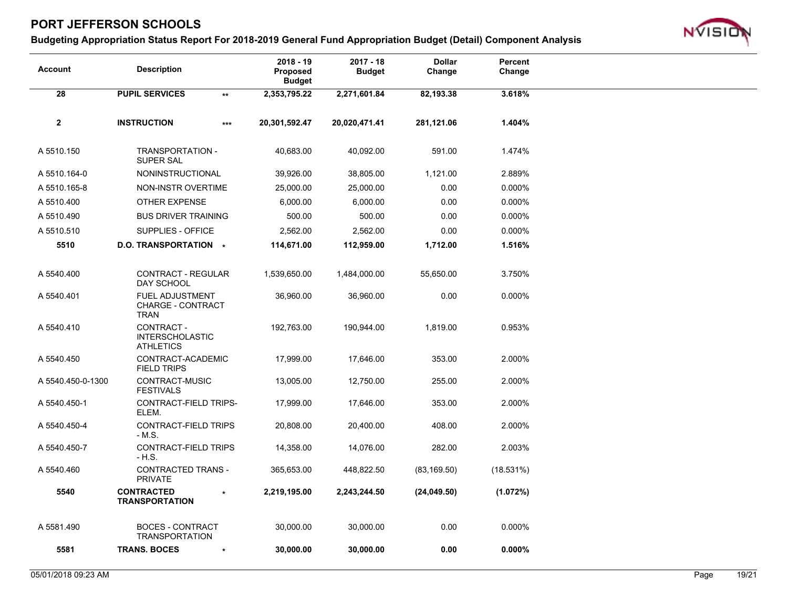

| 28<br><b>PUPIL SERVICES</b><br>3.618%<br>2,353,795.22<br>2,271,601.84<br>82,193.38<br>$\star\star$                          |
|-----------------------------------------------------------------------------------------------------------------------------|
|                                                                                                                             |
|                                                                                                                             |
| $\boldsymbol{2}$<br><b>INSTRUCTION</b><br>20,301,592.47<br>20,020,471.41<br>281,121.06<br>1.404%<br>$***$                   |
| 591.00<br>1.474%<br>A 5510.150<br>TRANSPORTATION -<br>40,683.00<br>40,092.00<br>SUPER SAL                                   |
| 2.889%<br>A 5510.164-0<br>NONINSTRUCTIONAL<br>39,926.00<br>38,805.00<br>1,121.00                                            |
| 0.00<br>0.000%<br>A 5510.165-8<br>NON-INSTR OVERTIME<br>25,000.00<br>25,000.00                                              |
| 0.00<br>0.000%<br>A 5510.400<br>OTHER EXPENSE<br>6,000.00<br>6,000.00                                                       |
| 0.00<br>0.000%<br>A 5510.490<br><b>BUS DRIVER TRAINING</b><br>500.00<br>500.00                                              |
| A 5510.510<br>SUPPLIES - OFFICE<br>2,562.00<br>2,562.00<br>0.00<br>0.000%                                                   |
| 5510<br>D.O. TRANSPORTATION *<br>1,712.00<br>1.516%<br>114,671.00<br>112,959.00                                             |
|                                                                                                                             |
| A 5540.400<br>CONTRACT - REGULAR<br>1,539,650.00<br>55,650.00<br>3.750%<br>1,484,000.00<br>DAY SCHOOL                       |
| 0.00<br>0.000%<br>A 5540.401<br><b>FUEL ADJUSTMENT</b><br>36,960.00<br>36,960.00<br><b>CHARGE - CONTRACT</b><br><b>TRAN</b> |
| CONTRACT -<br>A 5540.410<br>192,763.00<br>190,944.00<br>1,819.00<br>0.953%<br><b>INTERSCHOLASTIC</b><br><b>ATHLETICS</b>    |
| CONTRACT-ACADEMIC<br>17,999.00<br>353.00<br>2.000%<br>A 5540.450<br>17,646.00<br><b>FIELD TRIPS</b>                         |
| CONTRACT-MUSIC<br>255.00<br>2.000%<br>A 5540.450-0-1300<br>13,005.00<br>12,750.00<br><b>FESTIVALS</b>                       |
| CONTRACT-FIELD TRIPS-<br>353.00<br>2.000%<br>A 5540.450-1<br>17,999.00<br>17,646.00<br>ELEM.                                |
| CONTRACT-FIELD TRIPS<br>408.00<br>2.000%<br>A 5540.450-4<br>20,808.00<br>20,400.00<br>$-M.S.$                               |
| A 5540.450-7<br>CONTRACT-FIELD TRIPS<br>282.00<br>2.003%<br>14,358.00<br>14,076.00<br>- H.S.                                |
| A 5540.460<br><b>CONTRACTED TRANS -</b><br>365,653.00<br>448,822.50<br>(18.531%)<br>(83, 169.50)<br><b>PRIVATE</b>          |
| 5540<br><b>CONTRACTED</b><br>2,219,195.00<br>2,243,244.50<br>(1.072%)<br>(24,049.50)<br>$\star$<br><b>TRANSPORTATION</b>    |
| A 5581.490<br><b>BOCES - CONTRACT</b><br>30,000.00<br>30,000.00<br>0.00<br>0.000%<br><b>TRANSPORTATION</b>                  |
| 5581<br><b>TRANS. BOCES</b><br>0.00<br>$0.000\%$<br>30,000.00<br>30,000.00                                                  |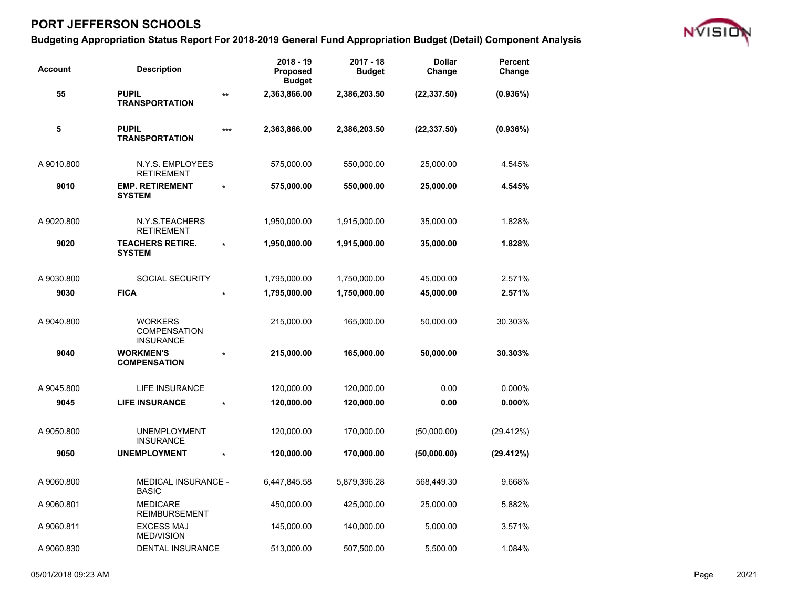

| <b>Account</b> | <b>Description</b>                                        |                 | $2018 - 19$<br>Proposed<br><b>Budget</b> | $2017 - 18$<br><b>Budget</b> | <b>Dollar</b><br>Change | <b>Percent</b><br>Change |
|----------------|-----------------------------------------------------------|-----------------|------------------------------------------|------------------------------|-------------------------|--------------------------|
| 55             | <b>PUPIL</b><br><b>TRANSPORTATION</b>                     | $^{\star\star}$ | 2,363,866.00                             | 2,386,203.50                 | (22, 337.50)            | (0.936%)                 |
| 5              | <b>PUPIL</b><br><b>TRANSPORTATION</b>                     | $***$           | 2,363,866.00                             | 2,386,203.50                 | (22, 337.50)            | (0.936%)                 |
| A 9010.800     | N.Y.S. EMPLOYEES<br><b>RETIREMENT</b>                     |                 | 575,000.00                               | 550,000.00                   | 25,000.00               | 4.545%                   |
| 9010           | <b>EMP. RETIREMENT</b><br><b>SYSTEM</b>                   | $\star$         | 575,000.00                               | 550,000.00                   | 25,000.00               | 4.545%                   |
| A 9020.800     | N.Y.S.TEACHERS<br><b>RETIREMENT</b>                       |                 | 1,950,000.00                             | 1,915,000.00                 | 35,000.00               | 1.828%                   |
| 9020           | <b>TEACHERS RETIRE.</b><br><b>SYSTEM</b>                  | $\star$         | 1,950,000.00                             | 1,915,000.00                 | 35,000.00               | 1.828%                   |
| A 9030.800     | <b>SOCIAL SECURITY</b>                                    |                 | 1,795,000.00                             | 1,750,000.00                 | 45,000.00               | 2.571%                   |
| 9030           | <b>FICA</b>                                               |                 | 1,795,000.00                             | 1,750,000.00                 | 45,000.00               | 2.571%                   |
| A 9040.800     | <b>WORKERS</b><br><b>COMPENSATION</b><br><b>INSURANCE</b> |                 | 215,000.00                               | 165,000.00                   | 50,000.00               | 30.303%                  |
| 9040           | <b>WORKMEN'S</b><br><b>COMPENSATION</b>                   |                 | 215,000.00                               | 165,000.00                   | 50,000.00               | 30.303%                  |
| A 9045.800     | LIFE INSURANCE                                            |                 | 120,000.00                               | 120,000.00                   | 0.00                    | 0.000%                   |
| 9045           | <b>LIFE INSURANCE</b>                                     |                 | 120,000.00                               | 120,000.00                   | 0.00                    | $0.000\%$                |
| A 9050.800     | <b>UNEMPLOYMENT</b><br><b>INSURANCE</b>                   |                 | 120,000.00                               | 170,000.00                   | (50,000.00)             | (29.412%)                |
| 9050           | <b>UNEMPLOYMENT</b>                                       | $\star$         | 120,000.00                               | 170,000.00                   | (50,000.00)             | (29.412%)                |
| A 9060.800     | MEDICAL INSURANCE -<br><b>BASIC</b>                       |                 | 6,447,845.58                             | 5,879,396.28                 | 568,449.30              | 9.668%                   |
| A 9060.801     | <b>MEDICARE</b><br><b>REIMBURSEMENT</b>                   |                 | 450,000.00                               | 425,000.00                   | 25,000.00               | 5.882%                   |
| A 9060.811     | <b>EXCESS MAJ</b><br><b>MED/VISION</b>                    |                 | 145,000.00                               | 140,000.00                   | 5,000.00                | 3.571%                   |
| A 9060.830     | DENTAL INSURANCE                                          |                 | 513,000.00                               | 507,500.00                   | 5,500.00                | 1.084%                   |